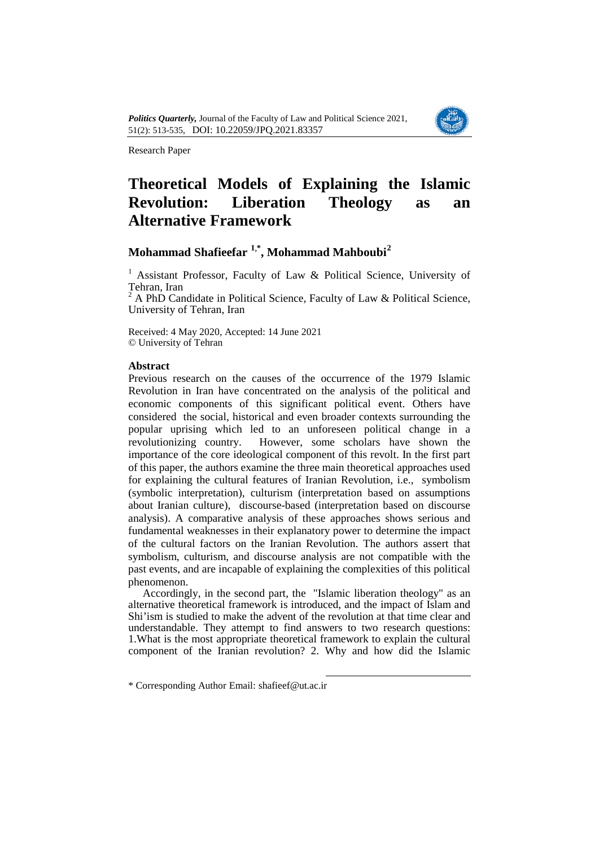

Research Paper

# **Theoretical Models of Explaining the Islamic Revolution: Liberation Theology as an Alternative Framework**

# **Mohammad Shafieefar [1,](#page-0-0)\* , Mohammad Mahboubi[2](#page-0-1)**

<sup>1</sup> Assistant Professor, Faculty of Law  $\&$  Political Science, University of Tehran, Iran

<sup>2</sup> A PhD Candidate in Political Science, Faculty of Law & Political Science, University of Tehran, Iran

Received: 4 May 2020, Accepted: 14 June 2021 © University of Tehran

## **Abstract**

Previous research on the causes of the occurrence of the 1979 Islamic Revolution in Iran have concentrated on the analysis of the political and economic components of this significant political event. Others have considered the social, historical and even broader contexts surrounding the popular uprising which led to an unforeseen political change in a revolutionizing country. However, some scholars have shown the importance of the core ideological component of this revolt. In the first part of this paper, the authors examine the three main theoretical approaches used for explaining the cultural features of Iranian Revolution, i.e., symbolism (symbolic interpretation), culturism (interpretation based on assumptions about Iranian culture), discourse-based (interpretation based on discourse analysis). A comparative analysis of these approaches shows serious and fundamental weaknesses in their explanatory power to determine the impact of the cultural factors on the Iranian Revolution. The authors assert that symbolism, culturism, and discourse analysis are not compatible with the past events, and are incapable of explaining the complexities of this political phenomenon.

Accordingly, in the second part, the "Islamic liberation theology" as an alternative theoretical framework is introduced, and the impact of Islam and Shi'ism is studied to make the advent of the revolution at that time clear and understandable. They attempt to find answers to two research questions: 1.What is the most appropriate theoretical framework to explain the cultural component of the Iranian revolution? 2. Why and how did the Islamic

-

<span id="page-0-1"></span><span id="page-0-0"></span><sup>\*</sup> Corresponding Author Email: shafieef@ut.ac.ir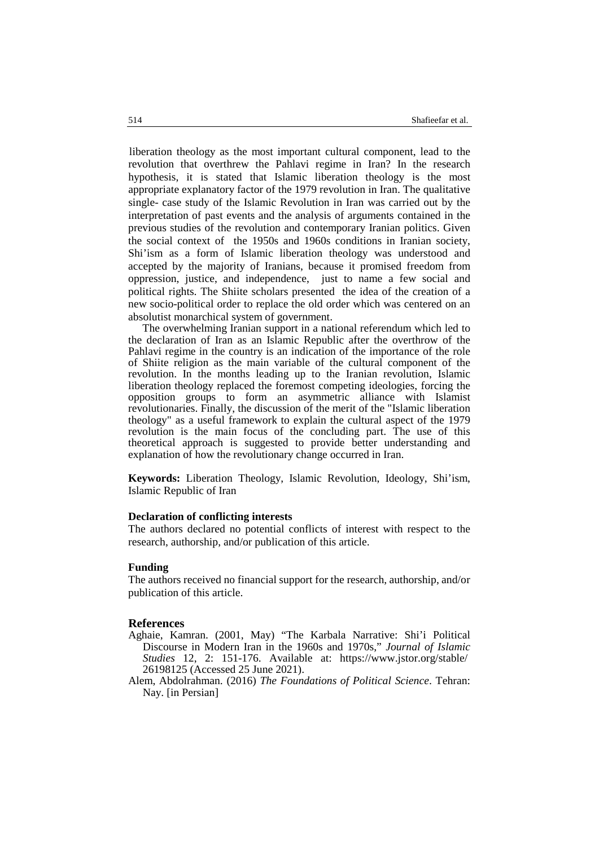liberation theolog[y](#page-3-0) as the most important cultural component, lead to the revolution that overthrew the Pahlavi regime in Iran? In the research hypothesis, it is stated that Islamic liberation theology is the most appropriate explanatory factor of the 1979 revolution in Iran. The qualitative single- case study of the Islamic Revolution in Iran was carried out by the interpretation of past events and the analysis of arguments contained in the previous studies of the revolution and contemporary Iranian politics. Given the social context of the 1950s and 1960s conditions in Iranian society, Shi'ism as a form of Islamic liberation theology was understood and accepted by the majority of Iranians, because it promised freedom from oppression, justice, and independence, just to name a few social and political rights. The Shiite scholars presented the idea of the creation of a new socio-political order to replace the old order which was centered on an absolutist monarchical system of government.

The overwhelming Iranian support in a national referendum which led to the declaration of Iran as an Islamic Republic after the overthrow of the Pahlavi regime in the country is an indication of the importance of the role of Shiite religion as the main variable of the cultural component of the revolution. In the months leading up to the Iranian revolution, Islamic liberation theology replaced the foremost competing ideologies, forcing the opposition groups to form an asymmetric alliance with Islamist revolutionaries. Finally, the discussion of the merit of the "Islamic liberation theology" as a useful framework to explain the cultural aspect of the 1979 revolution is the main focus of the concluding part. The use of this theoretical approach is suggested to provide better understanding and explanation of how the revolutionary change occurred in Iran.

**Keywords:** Liberation Theology, Islamic Revolution, Ideology, Shi'ism, Islamic Republic of Iran

#### **Declaration of conflicting interests**

The authors declared no potential conflicts of interest with respect to the research, authorship, and/or publication of this article.

#### **Funding**

The authors received no financial support for the research, authorship, and/or publication of this article.

#### **References**

- Aghaie, Kamran. (2001, May) "The Karbala Narrative: Shi'i Political Discourse in Modern Iran in the 1960s and 1970s," *Journal of Islamic Studies* 12, 2: 151-176. Available at: https://www.jstor.org/stable/ 26198125 (Accessed 25 June 2021).
- Alem, Abdolrahman. (2016) *The Foundations of Political Science*. Tehran: Nay. [in Persian]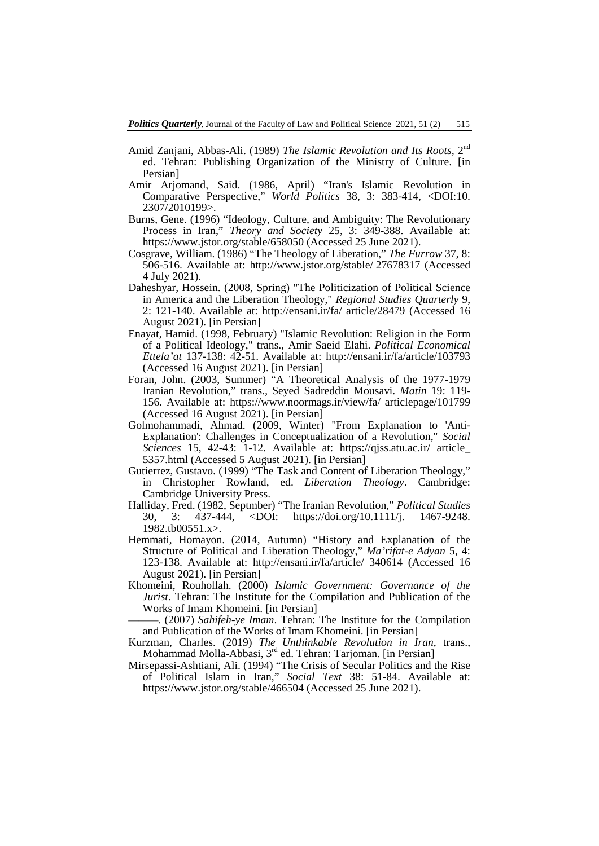- Amid Zanjani, Abbas-Ali. (1989) *The Islamic Revolution and Its Roots,* 2nd ed. Tehran: Publishing Organization of the Ministry of Culture. [in Persian]
- Amir Arjomand, Said. (1986, April) "Iran's Islamic Revolution in Comparative Perspective," *World Politics* 38, 3: 383-414, <DOI:10. 2307/2010199>.
- Burns, Gene. (1996) "Ideology, Culture, and Ambiguity: The Revolutionary Process in Iran," *Theory and Society* 25, 3: 349-388. Available at: https://www.jstor.org/stable/658050 (Accessed 25 June 2021).
- Cosgrave, William. (1986) "The Theology of Liberation," *The Furrow* 37, 8: 506-516. Available at: http://www.jstor.org/stable/ 27678317 (Accessed 4 July 2021).
- Daheshyar, Hossein. (2008, Spring) "The Politicization of Political Science in America and the Liberation Theology," *Regional Studies Quarterly* 9, 2: 121-140. Available at: http://ensani.ir/fa/ article/28479 (Accessed 16 August 2021). [in Persian]
- Enayat, Hamid. (1998, February) "Islamic Revolution: Religion in the Form of a Political Ideology," trans., Amir Saeid Elahi. *Political Economical Ettela'at* 137-138: 42-51. Available at: http://ensani.ir/fa/article/103793 (Accessed 16 August 2021). [in Persian]
- Foran, John. (2003, Summer) "A Theoretical Analysis of the 1977-1979 Iranian Revolution," trans., Seyed Sadreddin Mousavi. *Matin* 19: 119- 156. Available at: https://www.noormags.ir/view/fa/ articlepage/101799 (Accessed 16 August 2021). [in Persian]
- Golmohammadi, Ahmad. (2009, Winter) "From Explanation to 'Anti-Explanation': Challenges in Conceptualization of a Revolution," *Social Sciences* 15, 42-43: 1-12. Available at: https://qjss.atu.ac.ir/ article\_ 5357.html (Accessed 5 August 2021). [in Persian]
- Gutierrez, Gustavo. (1999) "The Task and Content of Liberation Theology," in Christopher Rowland, ed. *Liberation Theology*. Cambridge: Cambridge University Press.
- Halliday, Fred. (1982, Septmber) "The Iranian Revolution," *Political Studies* 30, 3: 437-444, <DOI: https://doi.org/10.1111/j. 1467-9248. 1982.tb00551.x>.
- Hemmati, Homayon. (2014, Autumn) "History and Explanation of the Structure of Political and Liberation Theology," *Ma'rifat-e Adyan* 5, 4: 123-138. Available at: http://ensani.ir/fa/article/ 340614 (Accessed 16 August 2021). [in Persian]
- Khomeini, Rouhollah. (2000) *Islamic Government: Governance of the Jurist*. Tehran: The Institute for the Compilation and Publication of the Works of Imam Khomeini. [in Persian]

———. (2007) *Sahifeh-ye Imam*. Tehran: The Institute for the Compilation and Publication of the Works of Imam Khomeini. [in Persian]

- Kurzman, Charles. (2019) *The Unthinkable Revolution in Iran*, trans., Mohammad Molla-Abbasi, 3<sup>rd</sup> ed. Tehran: Tarjoman. [in Persian]
- Mirsepassi-Ashtiani, Ali. (1994) "The Crisis of Secular Politics and the Rise of Political Islam in Iran," *Social Text* 38: 51-84. Available at: https://www.jstor.org/stable/466504 (Accessed 25 June 2021).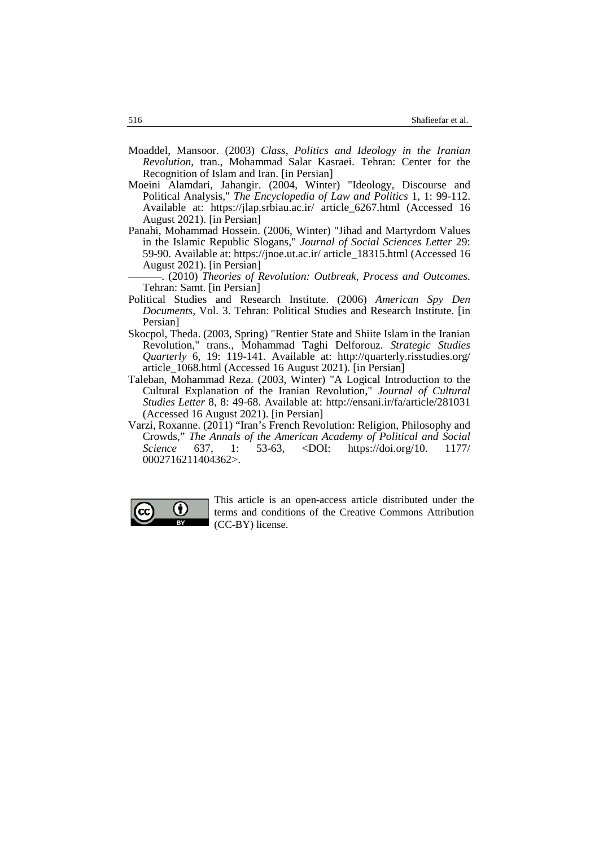- Moaddel, Mansoor. (2003) *Class, Politics and Ideology in the Iranian Revolution*, tran., Mohammad Salar Kasraei. Tehran: Center for the Recognition of Islam and Iran. [in Persian]
- Moeini Alamdari, Jahangir. (2004, Winter) "Ideology, Discourse and Political Analysis," *The Encyclopedia of Law and Politics* 1, 1: 99-112. Available at: https://jlap.srbiau.ac.ir/ article\_6267.html (Accessed 16 August 2021). [in Persian]
- Panahi, Mohammad Hossein. (2006, Winter) "Jihad and Martyrdom Values in the Islamic Republic Slogans," *Journal of Social Sciences Letter* 29: 59-90. Available at: https://jnoe.ut.ac.ir/ article\_18315.html (Accessed 16 August 2021). [in Persian]

———. (2010) *Theories of Revolution: Outbreak, Process and Outcomes.* Tehran: Samt. [in Persian]

- Political Studies and Research Institute. (2006) *American Spy Den Documents,* Vol. 3. Tehran: Political Studies and Research Institute. [in Persian]
- Skocpol, Theda. (2003, Spring) "Rentier State and Shiite Islam in the Iranian Revolution," trans., Mohammad Taghi Delforouz. *Strategic Studies Quarterly* 6, 19: 119-141. Available at: http://quarterly.risstudies.org/ article\_1068.html (Accessed 16 August 2021). [in Persian]
- Taleban, Mohammad Reza. (2003, Winter) "A Logical Introduction to the Cultural Explanation of the Iranian Revolution," *Journal of Cultural Studies Letter* 8, 8: 49-68. Available at: http://ensani.ir/fa/article/281031 (Accessed 16 August 2021). [in Persian]
- Varzi, Roxanne. (2011) "Iran's French Revolution: Religion, Philosophy and Crowds," *The Annals of the American Academy of Political and Social Science* 637, 1: 53-63, <DOI: https://doi.org/10. 1177/ 0002716211404362>.

<span id="page-3-0"></span>

This article is an open-access article distributed under the terms and conditions of the Creative Commons Attribution (CC-BY) license.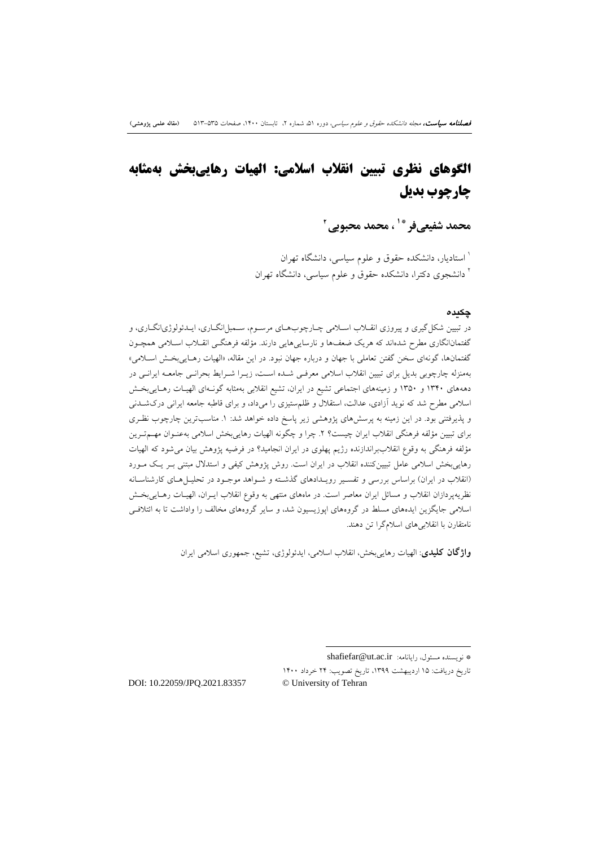# **الگوهاي نظري تبیین انقلاب اسلامی: الهیات رهاییبخش بهمثابه چارچوب بدیل**

**2 ، محمد محبوبی [\\*](#page-13-0)[1](#page-13-1) محمد شفیعیفر**

استادیار، دانشکده حقوق و علوم سیاسی، دانشگاه تهران <sup>1</sup> <sup>۱</sup> دانشجوی دکترا، دانشکده حقوق و علوم سیاسی، دانشگاه تهران

#### **چکیده**

در تبیین شکلگیري و پیروزي انقـلاب اسـلامی چـارچوب هـاي مرسـوم، سـمبل انگـاري، ایـدئولوژي انگـاري، و گفتمانانگاری مطرح شدهاند که هریک ضعفها و نارساییهایی دارند. مؤلفه فرهنگـی انقـلاب اسـلامی همچـون گفتمانها، گونهاي سخن گفتن تعاملی با جهان و درباره جهان نبود. در این مقاله، «الهیات رهـایی بخـش اسـلامی » بهمنزله چارچوبی بدیل براي تبیین انقلاب اسلامی معرفـی شـده اسـت، زیـرا شـرا یط بحرانـ ی جامعـ ه ایرانـی در دهههای ۱۳۴۰ و ۱۳۵۰ و زمینههای اجتماعی تشیع در ایران، تشیع انقلابی بهمثابه گونـهای الهیـات رهـاییبخـش اسلامی مطرح شد که نوید آزادي، عدالت، استقلال و ظلمستیزي را میداد، و براي قاطبه جامعه ایرانی دركشـدنی و پذیرفتنی بود. در این زمینه به پرسشهاي پژوهشی زیر پاسخ داده خواهد شد: .1 مناسبترین چارچوب نظـري براي تبیین مؤلفه فرهنگی انقلاب ایران چیست؟ .2 چرا و چگونه الهیات رهاییبخش اسلامی بهعنـوان مهـم تـر ین مؤلفه فرهنگی به وقوع انقلاببراندازنده رژیم پهلوي در ایران انجامید؟ در فرضیه پژوهش بیان میشود که الهیات رهاییبخش اسلامی عامل تبیینکننده انقلاب در ایران است. روش پژوهش کیفی و استدلال مبتنی بـر یـک مـورد (انقلاب در ایران) براساس بررسی و تفسـیر رویـدادهاي گذشـته و شـواهد موجـود در تحلیـل هـاي کارشناسـانه نظریهپردازان انقلاب و مسائل ایران معاصر است. در ماههاي منتهی به وقوع انقلاب ایـران، الهیـات رهـایی بخـش اسلامی جایگزین ایدههاي مسلط در گروههاي اپوزیسیون شد، و سایر گروههاي مخالف را واداشت تا به ائتلافـی نامتقارن با انقلابیهاي اسلامگرا تن دهند.

**واژگان کلیدي**: الهیات رهاییبخش، انقلاب اسلامی، ایدئولوژي، تشیع، جمهوري اسلامی ایران

-

تاریخ دریافت: 15 اردیبهشت ،1399 تاریخ تصویب: 24 خرداد 1400

DOI: 10.22059/JPQ.2021.83357 © University of Tehran

shafiefar@ut.ac.ir :رایانامه ،مسئول نویسنده\*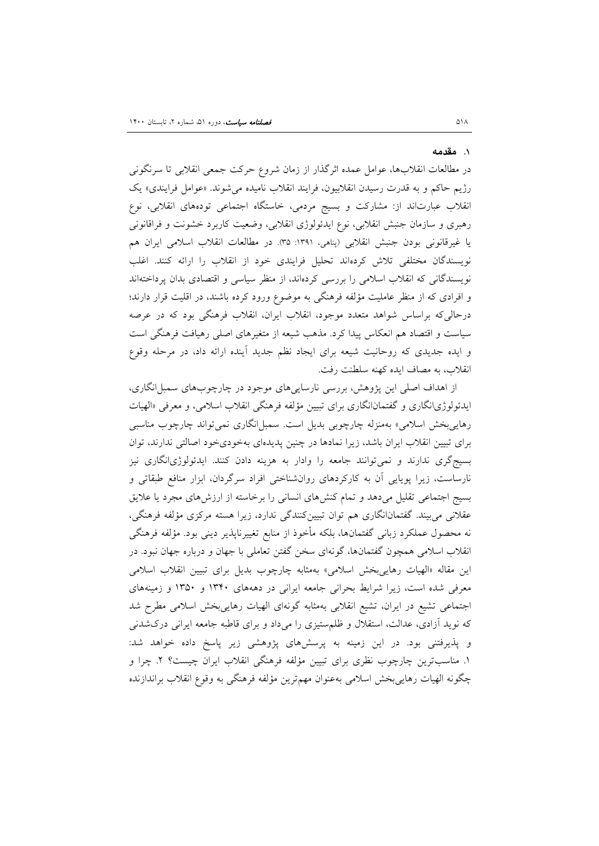#### .1 **مقدمه**

در مطالعات انقلابها، عوامل عمده اثرگذار از زمان شروع حرکت جمعی انقلابی تا سرنگونی رژیم حاکم و به قدرت رسیدن انقلابیون، فرایند انقلاب نامیده میشوند. «عوامل فرایندي» یک انقلاب عبارتاند از: مشارکت و بسیج مردمی، خاستگاه اجتماعی تودههاي انقلابی، نوع رهبري و سازمان جنبش انقلابی، نوع ایدئولوژي انقلابی، وضعیت کاربرد خشونت و فراقانونی یا غیرقانونی بودن جنبش انقلابی (پناهی، :1391 35). در مطالعات انقلاب اسلامی ایران هم نویسندگان مختلفی تلاش کردهاند تحلیل فرایندي خود از انقلاب را ارائه کنند. اغلب نویسندگانی که انقلاب اسلامی را بررسی کردهاند، از منظر سیاسی و اقتصادي بدان پرداختهاند و افرادي که از منظر عاملیت مؤلفه فرهنگی به موضوع ورود کرده باشند، در اقلیت قرار دارند؛ درحالیکه براساس شواهد متعدد موجود، انقلاب ایران، انقلاب فرهنگی بود که در عرصه سیاست و اقتصاد هم انعکاس پیدا کرد. مذهب شیعه از متغیرهاي اصلی رهیافت فرهنگی است و ایده جدیدي که روحانیت شیعه براي ایجاد نظم جدید آینده ارائه داد، در مرحله وقوع انقلاب، به مصاف ایده کهنه سلطنت رفت.

از اهداف اصلی این پژوهش، بررسی نارساییهاي موجود در چارچوبهاي سمبلانگاري، ایدئولوژيانگاري و گفتمانانگاري براي تبیین مؤلفه فرهنگی انقلاب اسلامی، و معرفی «الهیات رهاییبخش اسلامی» بهمنزله چارچوبی بدیل است. سمبل انگاری نمیتواند چارچوب مناسبی براي تبیین انقلاب ایران باشد، زیرا نمادها در چنین پدیدهاي بهخوديخود اصالتی ندارند، توان بسیجگري ندارند و نمیتوانند جامعه را وادار به هزینه دادن کنند. ایدئولوژيانگاري نیز نارساست، زیرا پویایی آن به کارکردهاي روانشناختی افراد سرگردان، ابزار منافع طبقاتی و بسیج اجتماعی تقلیل میدهد و تمام کنشهاي انسانی را برخاسته از ارزشهاي مجرد یا علایق عقلانی میبیند. گفتمانانگاري هم توان تبیینکنندگی ندارد، زیرا هسته مرکزي مؤلفه فرهنگی، نه محصول عملکرد زبانی گفتمانها، بلکه مأخوذ از منابع تغییرناپذیر دینی بود. مؤلفه فرهنگی انقلاب اسلامی همچون گفتمانها، گونهاي سخن گفتن تعاملی با جهان و درباره جهان نبود. در این مقاله «الهیات رهاییبخش اسلامی» بهمثابه چارچوب بدیل براي تبیین انقلاب اسلامی معرفی شده است، زیرا شرایط بحرانی جامعه ایرانی در دهههاي 1340 و 1350 و زمینههاي اجتماعی تشیع در ایران، تشیع انقلابی بهمثابه گونهاي الهیات رهاییبخش اسلامی مطرح شد که نوید آزادي، عدالت، استقلال و ظلمستیزي را میداد و براي قاطبه جامعه ایرانی دركشدنی و پذیرفتنی بود. در این زمینه به پرسشهاي پژوهشی زیر پاسخ داده خواهد شد: .1 مناسبترین چارچوب نظري براي تبیین مؤلفه فرهنگی انقلاب ایران چیست؟ .2 چرا و چگونه الهیات رهاییبخش اسلامی بهعنوان مهمترین مؤلفه فرهنگی به وقوع انقلاب براندازنده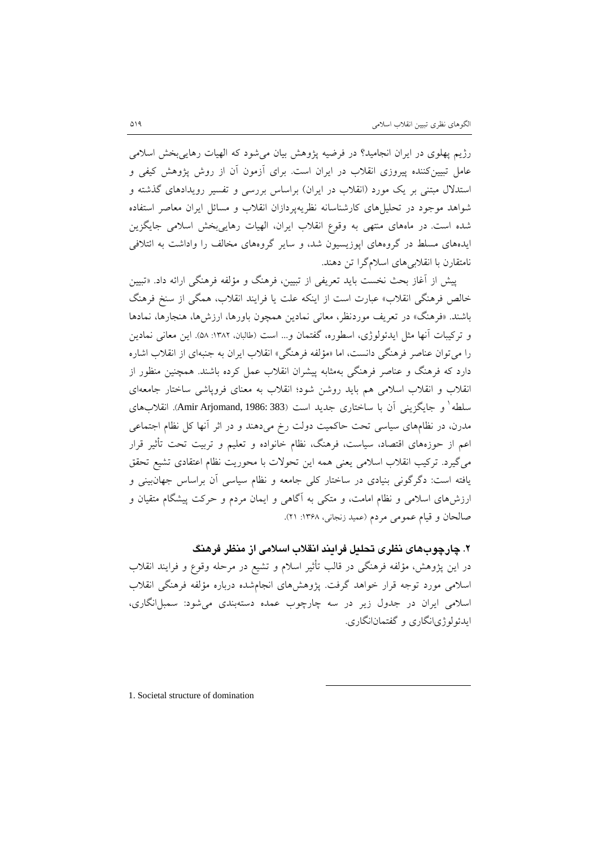رژیم پهلوي در ایران انجامید؟ در فرضیه پژوهش بیان میشود که الهیات رهاییبخش اسلامی عامل تبیینکننده پیروزي انقلاب در ایران است. براي آزمون آن از روش پژوهش کیفی و استدلال مبتنی بر یک مورد (انقلاب در ایران) براساس بررسی و تفسیر رویدادهاي گذشته و شواهد موجود در تحلیلهاي کارشناسانه نظریهپردازان انقلاب و مسائل ایران معاصر استفاده شده است. در ماههاي منتهی به وقوع انقلاب ایران، الهیات رهاییبخش اسلامی جایگزین ایدههاي مسلط در گروههاي اپوزیسیون شد، و سایر گروههاي مخالف را واداشت به ائتلافی نامتقارن با انقلابیهاي اسلامگرا تن دهند.

پیش از آغاز بحث نخست باید تعریفی از تبیین، فرهنگ و مؤلفه فرهنگی ارائه داد. «تبیین خالص فرهنگی انقلاب» عبارت است از اینکه علت یا فرایند انقلاب، همگی از سنخ فرهنگ باشند. «فرهنگ» در تعریف موردنظر، معانی نمادین همچون باورها، ارزشها، هنجارها، نمادها و ترکیبات آنها مثل ایدئولوژي، اسطوره، گفتمان و... است (طالبان، :1382 58). این معانی نمادین را میتوان عناصر فرهنگی دانست، اما «مؤلفه فرهنگی» انقلاب ایران به جنبهاي از انقلاب اشاره دارد که فرهنگ و عناصر فرهنگی بهمثابه پیشران انقلاب عمل کرده باشند. همچنین منظور از انقلاب و انقلاب اسلامی هم باید روشن شود؛ انقلاب به معناي فروپاشی ساختار جامعهاي سلطه ٰ و جایگزینی آن با ساختاری جدید است (383 :Amir Arjomand, [1](#page-16-0)986). انقلابهای مدرن، در نظامهاي سیاسی تحت حاکمیت دولت رخ میدهند و در اثر آنها کل نظام اجتماعی اعم از حوزههاي اقتصاد، سیاست، فرهنگ، نظام خانواده و تعلیم و تربیت تحت تأثیر قرار میگیرد. ترکیب انقلاب اسلامی یعنی همه این تحولات با محوریت نظام اعتقادي تشیع تحقق یافته است: دگرگونی بنیادي در ساختار کلی جامعه و نظام سیاسی آن براساس جهانبینی و ارزشهاي اسلامی و نظام امامت، و متکی به آگاهی و ایمان مردم و حرکت پیشگام متقیان و صالحان و قیام عمومی مردم (عمید زنجانی، ۱۳۶۸: ۲۱).

**.2 چارچوبهاي نظري تحلیل فرایند انقلاب اسلامی از منظر فرهنگ** در این پژوهش، مؤلفه فرهنگی در قالب تأثیر اسلام و تشیع در مرحله وقوع و فرایند انقلاب اسلامی مورد توجه قرار خواهد گرفت. پژوهشهاي انجامشده درباره مؤلفه فرهنگی انقلاب اسلامی ایران در جدول زیر در سه چارچوب عمده دستهبندی می شود: سمبل انگاری، ایدئولوژيانگاري و گفتمانانگاري.

-

1. Societal structure of domination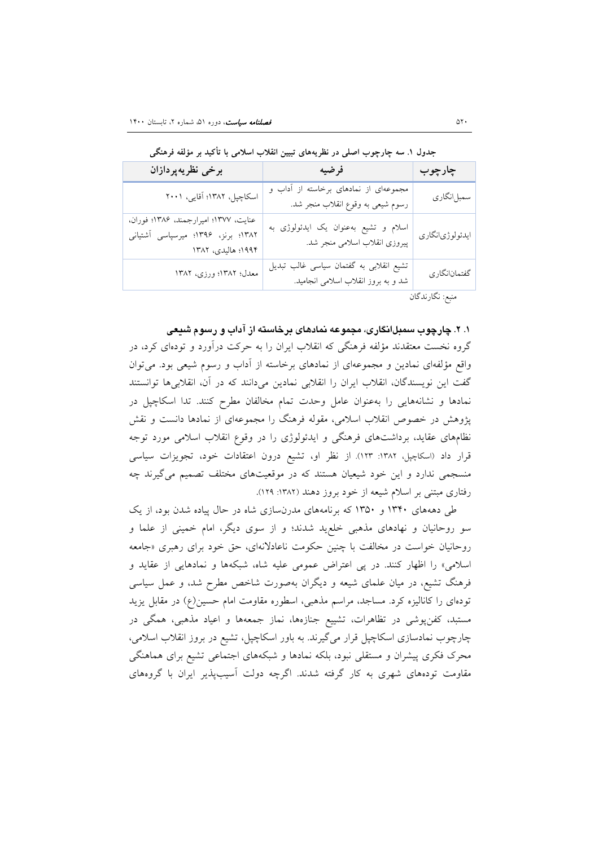| برخى نظريهپردازان                                                                                 | فرضيه                                                                          | چارچوب          |
|---------------------------------------------------------------------------------------------------|--------------------------------------------------------------------------------|-----------------|
| اسكاچپل، ١٣٨٢؛ آقايي، ٢٠٠١                                                                        | مجموعهای از نمادهای برخاسته از آداب و<br>رسوم شیعی به وقوع انقلاب منجر شد.     | سمبل انگاري     |
| عنايت، ١٣٧٧؛ اميرارجمند، ١٣٨۶؛ فوران،<br>۱۳۸۲؛ برنز، ۱۳۹۶؛ میرسپاسی آشتیانی<br>۱۹۹۴؛ هالیدی، ۱۳۸۲ | اسلام و تشیع بهعنوان یک ایدئولوژی به<br>پیروزی انقلاب اسلامی منجر شد.          | ايدئولوژيانگاري |
| معدل؛ ١٣٨٢؛ ورزي، ١٣٨٢                                                                            | تشيع انقلابي به گفتمان سياسي غالب تبديل<br>شد و به بروز انقلاب اسلامی انجامید. | گفتمانانگاري    |

**جدول .1 سه چارچوب اصلی در نظریههاي تبیین انقلاب اسلامی با تأکید بر مؤلفه فرهنگی**

منبع: نگارندگان

### **.1 .2 چارچوب سمبلانگاري، مجموعه نمادهاي برخاسته از آداب و رسوم شیعی**

گروه نخست معتقدند مؤلفه فرهنگی که انقلاب ایران را به حرکت درآورد و تودهاي کرد، در واقع مؤلفهاي نمادین و مجموعهاي از نمادهاي برخاسته از آداب و رسوم شیعی بود. میتوان گفت این نویسندگان، انقلاب ایران را انقلابی نمادین میدانند که در آن، انقلابیها توانستند نمادها و نشانههایی را بهعنوان عامل وحدت تمام مخالفان مطرح کنند. تدا اسکاچپل در پژوهش در خصوص انقلاب اسلامی، مقوله فرهنگ را مجموعهاي از نمادها دانست و نقش نظامهاي عقاید، برداشتهاي فرهنگی و ایدئولوژي را در وقوع انقلاب اسلامی مورد توجه قرار داد (اسکاچپل، :1382 123). از نظر او، تشیع درون اعتقادات خود، تجویزات سیاسی منسجمی ندارد و این خود شیعیان هستند که در موقعیتهاي مختلف تصمیم میگیرند چه رفتاري مبتنی بر اسلام شیعه از خود بروز دهند (:1382 129).

طی دهههاي 1340 و 1350 که برنامههاي مدرنسازي شاه در حال پیاده شدن بود، از یک سو روحانیان و نهادهاي مذهبی خلعید شدند؛ و از سوي دیگر، امام خمینی از علما و روحانیان خواست در مخالفت با چنین حکومت ناعادلانهاي، حق خود براي رهبري «جامعه اسلامی» را اظهار کنند. در پی اعتراض عمومی علیه شاه، شبکهها و نمادهایی از عقاید و فرهنگ تشیع، در میان علماي شیعه و دیگران بهصورت شاخص مطرح شد، و عمل سیاسی تودهاي را کانالیزه کرد. مساجد، مراسم مذهبی، اسطوره مقاومت امام حسین(ع) در مقابل یزید مستبد، کفنپوشی در تظاهرات، تشییع جنازهها، نماز جمعهها و اعیاد مذهبی، همگی در چارچوب نمادسازي اسکاچپل قرار میگیرند. به باور اسکاچپل، تشیع در بروز انقلاب اسلامی، محرك فکري پیشران و مستقلی نبود، بلکه نمادها و شبکههاي اجتماعی تشیع براي هماهنگی مقاومت تودههاي شهري به کار گرفته شدند. اگرچه دولت آسیبپذیر ایران با گروههاي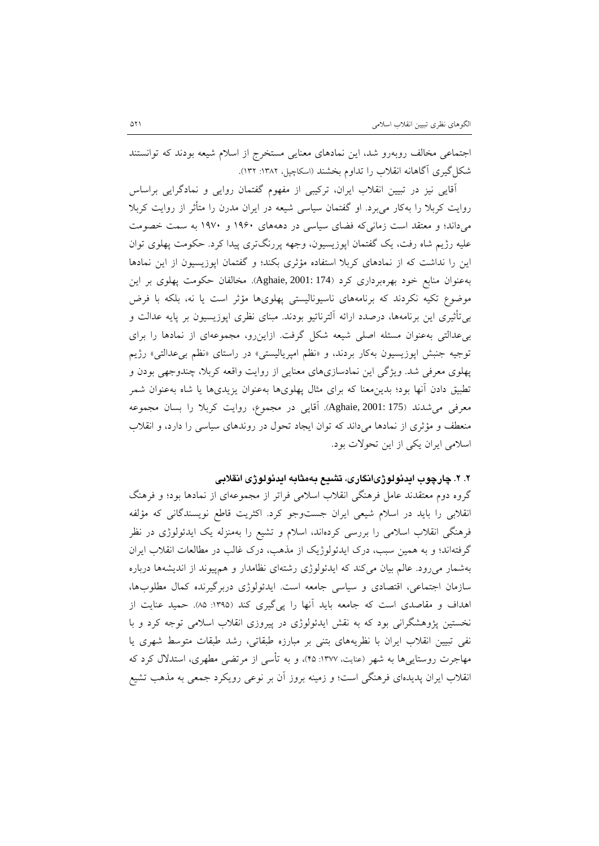اجتماعی مخالف روبهرو شد، این نمادهاي معنایی مستخرج از اسلام شیعه بودند که توانستند شکلگیري آگاهانه انقلاب را تداوم بخشند (اسکاچپل، :1382 132).

آقایی نیز در تبیین انقلاب ایران، ترکیبی از مفهوم گفتمان روایی و نمادگرایی براساس روایت کربلا را بهکار میبرد. او گفتمان سیاسی شیعه در ایران مدرن را متأثر از روایت کربلا میداند؛ و معتقد است زمانیکه فضاي سیاسی در دهههاي 1960 و 1970 به سمت خصومت علیه رژیم شاه رفت، یک گفتمان اپوزیسیون، وجهه پررنگتري پیدا کرد. حکومت پهلوي توان این را نداشت که از نمادهاي کربلا استفاده مؤثري بکند؛ و گفتمان اپوزیسیون از این نمادها بهعنوان منابع خود بهرهبرداري کرد (174 2001: ,Aghaie(. مخالفان حکومت پهلوي بر این موضوع تکیه نکردند که برنامههاي ناسیونالیستی پهلويها مؤثر است یا نه، بلکه با فرض بیتأثیري این برنامهها، درصدد ارائه آلترناتیو بودند. مبناي نظري اپوزیسیون بر پایه عدالت و بیعدالتی بهعنوان مسئله اصلی شیعه شکل گرفت. ازاینرو، مجموعهاي از نمادها را براي توجیه جنبش اپوزیسیون بهکار بردند، و «نظم امپریالیستی» در راستاي «نظم بیعدالتی» رژیم پهلوي معرفی شد. ویژگی این نمادسازيهاي معنایی از روایت واقعه کربلا، چندوجهی بودن و تطبیق دادن آنها بود؛ بدینمعنا که براي مثال پهلويها بهعنوان یزیديها یا شاه بهعنوان شمر معرفی میشدند (175 2001: ,Aghaie(. آقایی در مجموع، روایت کربلا را بسان مجموعه منعطف و مؤثري از نمادها میداند که توان ایجاد تحول در روندهاي سیاسی را دارد، و انقلاب اسلامی ایران یکی از این تحولات بود.

## **.2 .2 چارچوب ایدئولوژيانگاري، تشیع بهمثابه ایدئولوژي انقلابی**

گروه دوم معتقدند عامل فرهنگی انقلاب اسلامی فراتر از مجموعهاي از نمادها بود؛ و فرهنگ انقلابی را باید در اسلام شیعی ایران جستوجو کرد. اکثریت قاطع نویسندگانی که مؤلفه فرهنگی انقلاب اسلامی را بررسی کردهاند، اسلام و تشیع را بهمنزله یک ایدئولوژي در نظر گرفتهاند؛ و به همین سبب، درك ایدئولوژیک از مذهب، درك غالب در مطالعات انقلاب ایران بهشمار میرود. عالم بیان میکند که ایدئولوژي رشتهاي نظامدار و همپیوند از اندیشهها درباره سازمان اجتماعی، اقتصادي و سیاسی جامعه است. ایدئولوژي دربرگیرنده کمال مطلوبها، اهداف و مقاصدي است که جامعه باید آنها را پیگیري کند (:1395 85). حمید عنایت از نخستین پژوهشگرانی بود که به نقش ایدئولوژي در پیروزي انقلاب اسلامی توجه کرد و با نفی تبیین انقلاب ایران با نظریههاي بتنی بر مبارزه طبقاتی، رشد طبقات متوسط شهري یا مهاجرت روستاییها به شهر (عنایت، :1377 45)، و به تأسی از مرتضی مطهري، استدلال کرد که انقلاب ایران پدیدهاي فرهنگی است؛ و زمینه بروز آن بر نوعی رویکرد جمعی به مذهب تشیع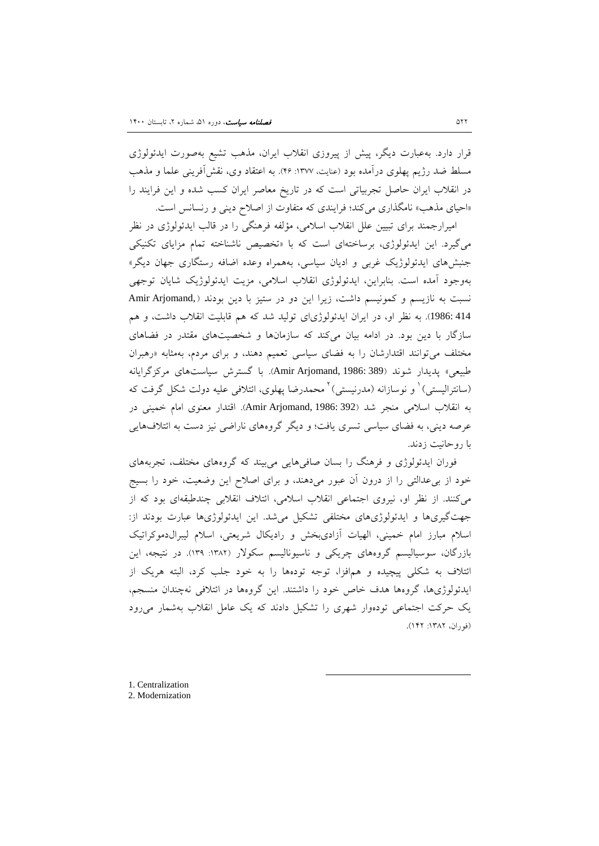قرار دارد. بهعبارت دیگر، پیش از پیروزي انقلاب ایران، مذهب تشیع بهصورت ایدئولوژي مسلط ضد رژیم پهلوي درآمده بود (عنایت، :1377 46). به اعتقاد وي، نقشآفرینی علما و مذهب در انقلاب ایران حاصل تجربیاتی است که در تاریخ معاصر ایران کسب شده و این فرایند را «احیاي مذهب» نامگذاري میکند؛ فرایندي که متفاوت از اصلاح دینی و رنسانس است.

امیرارجمند براي تبیین علل انقلاب اسلامی، مؤلفه فرهنگی را در قالب ایدئولوژي در نظر میگیرد. این ایدئولوژي، برساختهاي است که با «تخصیص ناشناخته تمام مزایاي تکنیکی جنبشهاي ایدئولوژیک غربی و ادیان سیاسی، بههمراه وعده اضافه رستگاري جهان دیگر» بهوجود آمده است. بنابراین، ایدئولوژي انقلاب اسلامی، مزیت ایدئولوژیک شایان توجهی نسبت به نازیسم و کمونیسم داشت، زیرا این دو در ستیز با دین بودند ( ,Arjomand Amir 414 1986:). به نظر او، در ایران ایدئولوژياي تولید شد که هم قابلیت انقلاب داشت، و هم سازگار با دین بود. در ادامه بیان میکند که سازمانها و شخصیتهاي مقتدر در فضاهاي مختلف میتوانند اقتدارشان را به فضاي سیاسی تعمیم دهند، و براي مردم، بهمثابه «رهبران طبیعی» پدیدار شوند (389 1986: ,Arjomand Amir(. با گسترش سیاستهاي مرکزگرایانه (سانترالیستی) <sup>۱</sup> و نوسازانه (مدرنیستی) <sup>۲</sup> محمدرضا پهلوی، ائتلافی علیه دولت شکل گرفت که به انقلاب اسلامی منجر شد (392 1986: ,Arjomand Amir(. اقتدار معنوي امام خمینی در عرصه دینی، به فضاي سیاسی تسري یافت؛ و دیگر گروههاي ناراضی نیز دست به ائتلافهایی با روحانیت زدند.

فوران ایدئولوژي و فرهنگ را بسان صافیهایی میبیند که گروههاي مختلف، تجربههاي خود از بیعدالتی را از درون آن عبور میدهند، و براي اصلاح این وضعیت، خود را بسیج میکنند. از نظر او، نیروي اجتماعی انقلاب اسلامی، ائتلاف انقلابی چندطبقهاي بود که از جهتگیريها و ایدئولوژيهاي مختلفی تشکیل میشد. این ایدئولوژيها عبارت بودند از: اسلام مبارز امام خمینی، الهیات آزاديبخش و رادیکال شریعتی، اسلام لیبرالدموکراتیک بازرگان، سوسیالیسم گروههاي چریکی و ناسیونالیسم سکولار (:1382 139). در نتیجه، این ائتلاف به شکلی پیچیده و همافزا، توجه تودهها را به خود جلب کرد، البته هریک از ایدئولوژيها، گروهها هدف خاص خود را داشتند. این گروهها در ائتلافی نهچندان منسجم، یک حرکت اجتماعی تودهوار شهري را تشکیل دادند که یک عامل انقلاب بهشمار میرود (فوران، :1382 142).

-

<sup>1.</sup> Centralization 2. Modernization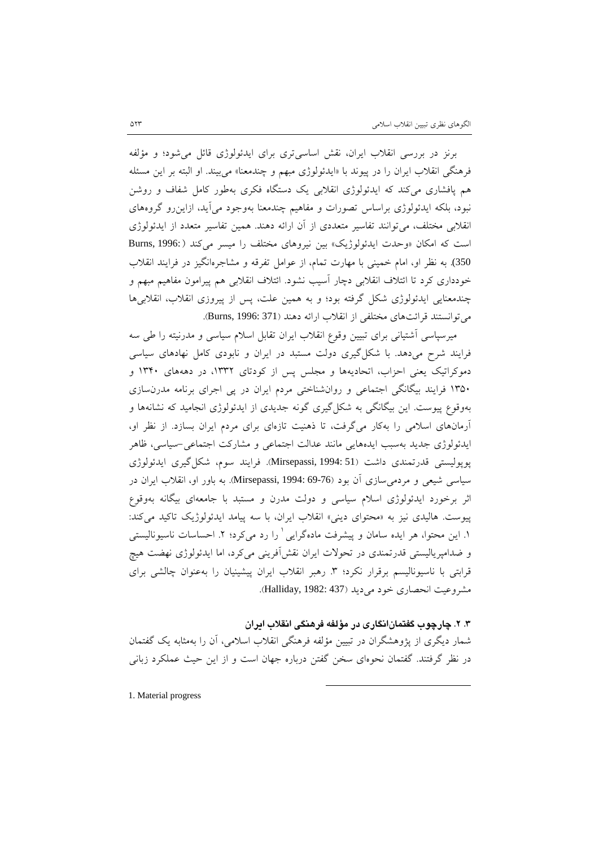برنز در بررسی انقلاب ایران، نقش اساسیتري براي ایدئولوژي قائل میشود؛ و مؤلفه فرهنگی انقلاب ایران را در پیوند با «ایدئولوژي مبهم و چندمعنا» میبیند. او البته بر این مسئله هم پافشاري میکند که ایدئولوژي انقلابی یک دستگاه فکري بهطور کامل شفاف و روشن نبود، بلکه ایدئولوژي براساس تصورات و مفاهیم چندمعنا بهوجود میآید، ازاینرو گروههاي انقلابی مختلف، میتوانند تفاسیر متعددي از آن ارائه دهند. همین تفاسیر متعدد از ایدئولوژي است که امکان «وحدت ایدئولوژیک» بین نیروهاي مختلف را میسر میکند ( 1996: ,Burns 350). به نظر او، امام خمینی با مهارت تمام، از عوامل تفرقه و مشاجرهانگیز در فرایند انقلاب خودداري کرد تا ائتلاف انقلابی دچار آسیب نشود. ائتلاف انقلابی هم پیرامون مفاهیم مبهم و چندمعنایی ایدئولوژي شکل گرفته بود؛ و به همین علت، پس از پیروزي انقلاب، انقلابیها میتوانستند قرائتهاي مختلفی از انقلاب ارائه دهند (371 1996: ,Burns(.

میرسپاسی آشتیانی براي تبیین وقوع انقلاب ایران تقابل اسلام سیاسی و مدرنیته را طی سه فرایند شرح میدهد. با شکلگیري دولت مستبد در ایران و نابودي کامل نهادهاي سیاسی دموکراتیک یعنی احزاب، اتحادیهها و مجلس پس از کودتاي ،1332 در دهههاي 1340 و 1350 فرایند بیگانگی اجتماعی و روانشناختی مردم ایران در پی اجراي برنامه مدرنسازي بهوقوع پیوست. این بیگانگی به شکلگیري گونه جدیدي از ایدئولوژي انجامید که نشانهها و آرمانهاي اسلامی را بهکار میگرفت، تا ذهنیت تازهاي براي مردم ایران بسازد. از نظر او، ایدئولوژي جدید بهسبب ایدههایی مانند عدالت اجتماعی و مشارکت اجتماعی-سیاسی، ظاهر پوپولیستی قدرتمندي داشت (51 1994: ,Mirsepassi(. فرایند سوم، شکلگیري ایدئولوژي سیاسی شیعی و مردمیسازي آن بود (69-76 1994: ,Mirsepassi(. به باور او، انقلاب ایران در اثر برخورد ایدئولوژي اسلام سیاسی و دولت مدرن و مستبد با جامعهاي بیگانه بهوقوع پیوست. هالیدي نیز به «محتواي دینی» انقلاب ایران، با سه پیامد ایدئولوژیک تاکید میکند: ۱. این محتوا، هر ایده سامان و پیشرفت مادهگرایی <sup>۱</sup> را رد میکرد؛ ۲. احساسات ناسیونالیستی و ضدامپریالیستی قدرتمندي در تحولات ایران نقشآفرینی میکرد، اما ایدئولوژي نهضت هیچ قرابتی با ناسیونالیسم برقرار نکرد؛ ۳ رهبر انقلاب ایران پیشینیان را بهعنوان چالشی برای مشروعیت انحصاری خود می دید (437 :Halliday, 1982).

## **.3 .2 چارچوب گفتمانانگاري در مؤلفه فرهنگی انقلاب ایران**

شمار دیگري از پژوهشگران در تبیین مؤلفه فرهنگی انقلاب اسلامی، آن را بهمثابه یک گفتمان در نظر گرفتند. گفتمان نحوهاي سخن گفتن درباره جهان است و از این حیث عملکرد زبانی

-

1. Material progress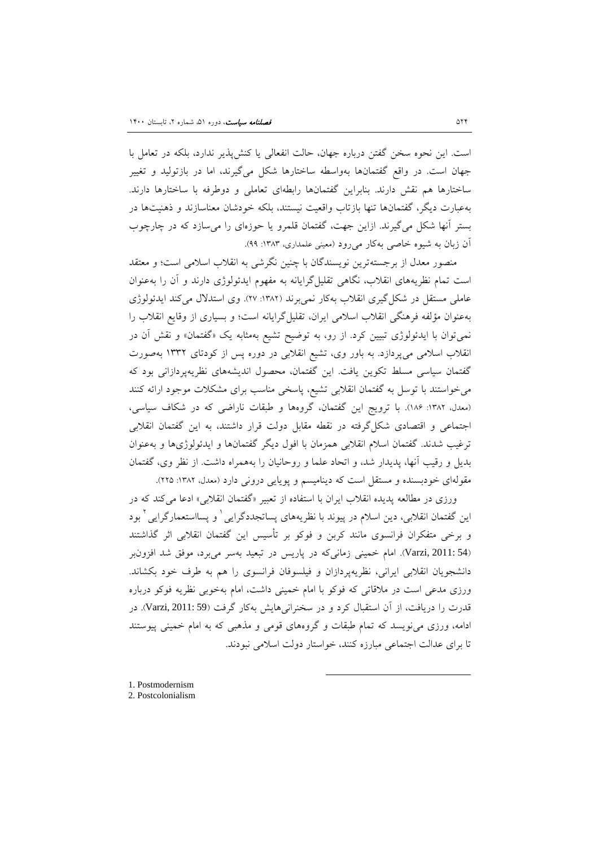است. این نحوه سخن گفتن درباره جهان، حالت انفعالی یا کنشپذیر ندارد، بلکه در تعامل با جهان است. در واقع گفتمانها بهواسطه ساختارها شکل میگیرند، اما در بازتولید و تغییر ساختارها هم نقش دارند. بنابراین گفتمانها رابطهاي تعاملی و دوطرفه با ساختارها دارند. بهعبارت دیگر، گفتمانها تنها بازتاب واقعیت نیستند، بلکه خودشان معناسازند و ذهنیتها در بستر آنها شکل میگیرند. ازاین جهت، گفتمان قلمرو یا حوزهاي را میسازد که در چارچوب آن زبان به شیوه خاصی بهکار میرود (معینی علمداري، :1383 99).

منصور معدل از برجستهترین نویسندگان با چنین نگرشی به انقلاب اسلامی است؛ و معتقد است تمام نظریههاي انقلاب، نگاهی تقلیلگرایانه به مفهوم ایدئولوژي دارند و آن را بهعنوان عاملی مستقل در شکل گیری انقلاب بهکار نمیبرند (١٣٨٢: ٢٧). وی استدلال میکند ایدئولوژی بهعنوان مؤلفه فرهنگی انقلاب اسلامی ایران، تقلیلگرایانه است؛ و بسیاري از وقایع انقلاب را نمیتوان با ایدئولوژي تبیین کرد. از رو، به توضیح تشیع بهمثابه یک «گفتمان» و نقش آن در انقلاب اسلامی میپردازد. به باور وي، تشیع انقلابی در دوره پس از کودتاي 1332 بهصورت گفتمان سیاسی مسلط تکوین یافت. این گفتمان، محصول اندیشههاي نظریهپردازانی بود که میخواستند با توسل به گفتمان انقلابی تشیع، پاسخی مناسب براي مشکلات موجود ارائه کنند (معدل، :1382 186). با ترویج این گفتمان، گروهها و طبقات ناراضی که در شکاف سیاسی، اجتماعی و اقتصادي شکلگرفته در نقطه مقابل دولت قرار داشتند، به این گفتمان انقلابی ترغیب شدند. گفتمان اسلام انقلابی همزمان با افول دیگر گفتمانها و ایدئولوژيها و بهعنوان بدیل و رقیب آنها، پدیدار شد، و اتحاد علما و روحانیان را بههمراه داشت. از نظر وي، گفتمان مقولهاي خودبسنده و مستقل است که دینامیسم و پویایی درونی دارد (معدل، :1382 225).

ورزي در مطالعه پدیده انقلاب ایران با استفاده از تعبیر «گفتمان انقلابی» ادعا میکند که در ین گفتمان انقلابی، دین اسلام در پیوند با نظریههای پساتجددگرایی <sup>۱</sup> و پسااستعمارگرایی <sup>۲</sup> بود و برخی متفکران فرانسوي مانند کربن و فوکو بر تأسیس این گفتمان انقلابی اثر گذاشتند (54 2011: ,Varzi(. امام خمینی زمانیکه در پاریس در تبعید بهسر میبرد، موفق شد افزونبر دانشجویان انقلابی ایرانی، نظریهپردازان و فیلسوفان فرانسوي را هم به طرف خود بکشاند. ورزي مدعی است در ملاقاتی که فوکو با امام خمینی داشت، امام بهخوبی نظریه فوکو درباره قدرت را دریافت، از آن استقبال کرد و در سخنرانیهایش بهکار گرفت (59 2011: ,Varzi(. در ادامه، ورزي مینویسد که تمام طبقات و گروههاي قومی و مذهبی که به امام خمینی پیوستند تا براي عدالت اجتماعی مبارزه کنند، خواستار دولت اسلامی نبودند.

-

1. Postmodernism 2. Postcolonialism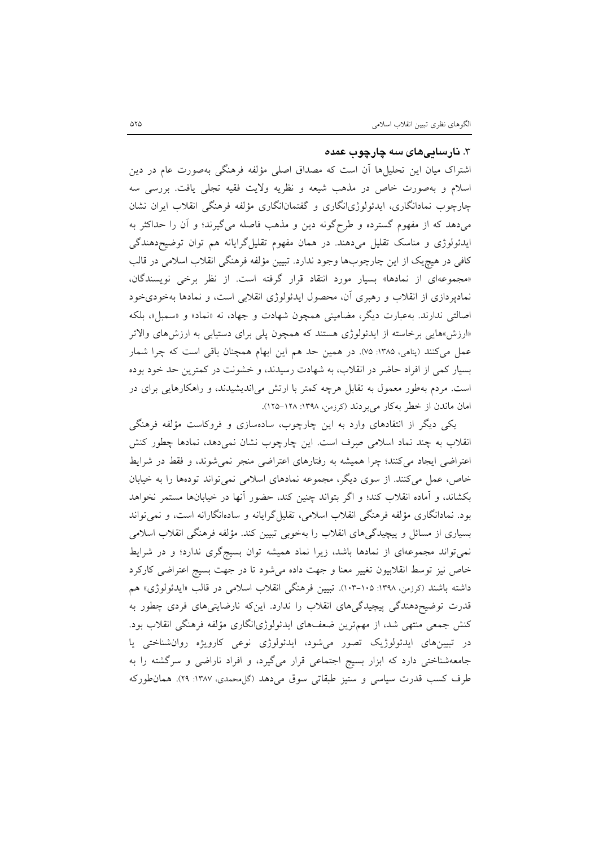#### .3 **نارساییهاي سه چارچوب عمده**

اشتراك میان این تحلیلها آن است که مصداق اصلی مؤلفه فرهنگی بهصورت عام در دین اسلام و بهصورت خاص در مذهب شیعه و نظریه ولایت فقیه تجلی یافت. بررسی سه چارچوب نمادانگاري، ایدئولوژيانگاري و گفتمانانگاري مؤلفه فرهنگی انقلاب ایران نشان میدهد که از مفهوم گسترده و طرحگونه دین و مذهب فاصله میگیرند؛ و آن را حداکثر به ایدئولوژي و مناسک تقلیل میدهند. در همان مفهوم تقلیلگرایانه هم توان توضیحدهندگی کافی در هیچیک از این چارچوبها وجود ندارد. تبیین مؤلفه فرهنگی انقلاب اسلامی در قالب «مجموعهاي از نمادها» بسیار مورد انتقاد قرار گرفته است. از نظر برخی نویسندگان، نمادپردازي از انقلاب و رهبري آن، محصول ایدئولوژي انقلابی است، و نمادها بهخوديخود اصالتی ندارند. بهعبارت دیگر، مضامینی همچون شهادت و جهاد، نه «نماد» و «سمبل»، بلکه «ارزش»هایی برخاسته از ایدئولوژي هستند که همچون پلی براي دستیابی به ارزشهاي والاتر عمل میکنند (پناهی، ۱۳۸۵: ۷۵). در همین حد هم این ابهام همچنان باقی است که چرا شمار بسیار کمی از افراد حاضر در انقلاب، به شهادت رسیدند، و خشونت در کمترین حد خود بوده است. مردم بهطور معمول به تقابل هرچه کمتر با ارتش میاندیشیدند، و راهکارهایی براي در امان ماندن از خطر بهکار میبردند (کرزمن، :1398 125-128).

یکی دیگر از انتقادهاي وارد به این چارچوب، سادهسازي و فروکاست مؤلفه فرهنگی انقلاب به چند نماد اسلامی صرف است. این چارچوب نشان نمیدهد، نمادها چطور کنش اعتراضی ایجاد میکنند؛ چرا همیشه به رفتارهاي اعتراضی منجر نمیشوند، و فقط در شرایط خاص، عمل میکنند. از سوي دیگر، مجموعه نمادهاي اسلامی نمیتواند تودهها را به خیابان بکشاند، و آماده انقلاب کند؛ و اگر بتواند چنین کند، حضور آنها در خیابانها مستمر نخواهد بود. نمادانگاري مؤلفه فرهنگی انقلاب اسلامی، تقلیلگرایانه و سادهانگارانه است، و نمیتواند بسیاري از مسائل و پیچیدگیهاي انقلاب را بهخوبی تبیین کند. مؤلفه فرهنگی انقلاب اسلامی نمیتواند مجموعهاي از نمادها باشد، زیرا نماد همیشه توان بسیجگري ندارد؛ و در شرایط خاص نیز توسط انقلابیون تغییر معنا و جهت داده میشود تا در جهت بسیج اعتراضی کارکرد داشته باشند (کرزمن، ۱۳۹۸: ۱۰۵-۱۰۳). تبیین فرهنگی انقلاب اسلامی در قالب «ایدئولوژی» هم قدرت توضیحدهندگی پیچیدگیهاي انقلاب را ندارد. اینکه نارضایتیهاي فردي چطور به کنش جمعی منتهی شد، از مهمترین ضعفهاي ایدئولوژيانگاري مؤلفه فرهنگی انقلاب بود. در تبیینهاي ایدئولوژیک تصور میشود، ایدئولوژي نوعی کارویژه روانشناختی یا جامعهشناختی دارد که ابزار بسیج اجتماعی قرار میگیرد، و افراد ناراضی و سرگشته را به طرف کسب قدرت سیاسی و ستیز طبقاتی سوق میدهد (گلمحمدي، :1387 29). همانطورکه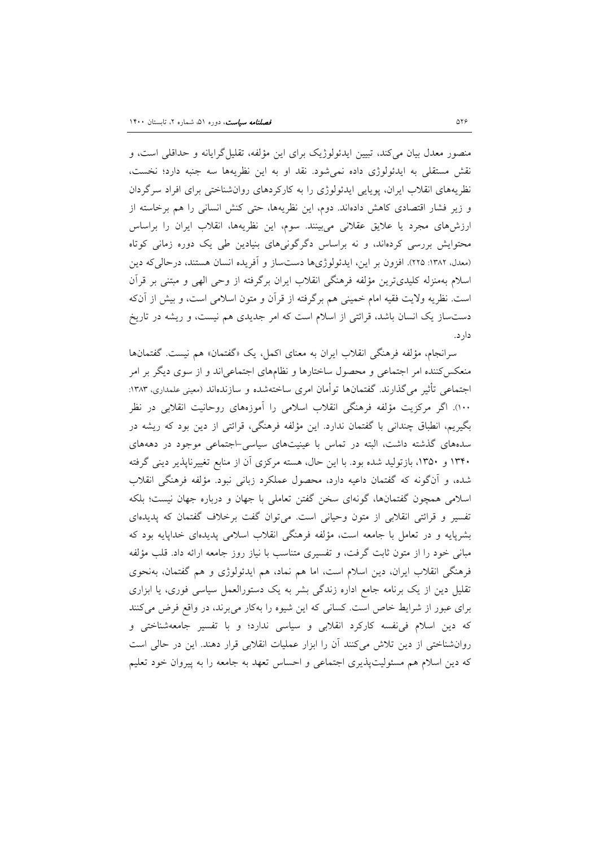منصور معدل بیان میکند، تبیین ایدئولوژیک براي این مؤلفه، تقلیلگرایانه و حداقلی است، و نقش مستقلی به ایدئولوژي داده نمیشود. نقد او به این نظریهها سه جنبه دارد؛ نخست، نظریههاي انقلاب ایران، پویایی ایدئولوژي را به کارکردهاي روانشناختی براي افراد سرگردان و زیر فشار اقتصادي کاهش دادهاند. دوم، این نظریهها، حتی کنش انسانی را هم برخاسته از ارزشهاي مجرد یا علایق عقلانی میبینند. سوم، این نظریهها، انقلاب ایران را براساس محتوایش بررسی کردهاند، و نه براساس دگرگونیهاي بنیادین طی یک دوره زمانی کوتاه (معدل، :1382 225). افزون بر این، ایدئولوژيها دستساز و آفریده انسان هستند، درحالیکه دین اسلام بهمنزله کلیديترین مؤلفه فرهنگی انقلاب ایران برگرفته از وحی الهی و مبتنی بر قرآن است. نظریه ولایت فقیه امام خمینی هم برگرفته از قرآن و متون اسلامی است، و بیش از آنکه دستساز یک انسان باشد، قرائتی از اسلام است که امر جدیدي هم نیست، و ریشه در تاریخ دارد.

<span id="page-13-1"></span><span id="page-13-0"></span>سرانجام، مؤلفه فرهنگی انقلاب ایران به معناي اکمل، یک «گفتمان» هم نیست. گفتمانها منعکسکننده امر اجتماعی و محصول ساختارها و نظامهاي اجتماعیاند و از سوي دیگر بر امر اجتماعی تأثیر می گذارند. گفتمانها توأمان امری ساختهشده و سازندهاند (معینی علمداری، ۱۳۸۳: 100). اگر مرکزیت مؤلفه فرهنگی انقلاب اسلامی را آموزههاي روحانیت انقلابی در نظر بگیریم، انطباق چندانی با گفتمان ندارد. این مؤلفه فرهنگی، قرائتی از دین بود که ریشه در سدههاي گذشته داشت، البته در تماس با عینیتهاي سیاسی-اجتماعی موجود در دهههاي 1340 و ،1350 بازتولید شده بود. با این حال، هسته مرکزي آن از منابع تغییرناپذیر دینی گرفته شده، و آنگونه که گفتمان داعیه دارد، محصول عملکرد زبانی نبود. مؤلفه فرهنگی انقلاب اسلامی همچون گفتمانها، گونهاي سخن گفتن تعاملی با جهان و درباره جهان نیست؛ بلکه تفسیر و قرائتی انقلابی از متون وحیانی است. میتوان گفت برخلاف گفتمان که پدیدهاي بشرپایه و در تعامل با جامعه است، مؤلفه فرهنگی انقلاب اسلامی پدیدهاي خداپایه بود که مبانی خود را از متون ثابت گرفت، و تفسیري متناسب با نیاز روز جامعه ارائه داد. قلب مؤلفه فرهنگی انقلاب ایران، دین اسلام است، اما هم نماد، هم ایدئولوژي و هم گفتمان، بهنحوي تقلیل دین از یک برنامه جامع اداره زندگی بشر به یک دستورالعمل سیاسی فوري، یا ابزاري براي عبور از شرایط خاص است. کسانی که این شیوه را بهکار میبرند، در واقع فرض میکنند که دین اسلام فینفسه کارکرد انقلابی و سیاسی ندارد؛ و با تفسیر جامعهشناختی و روانشناختی از دین تلاش میکنند آن را ابزار عملیات انقلابی قرار دهند. این در حالی است که دین اسلام هم مسئولیتپذیري اجتماعی و احساس تعهد به جامعه را به پیروان خود تعلیم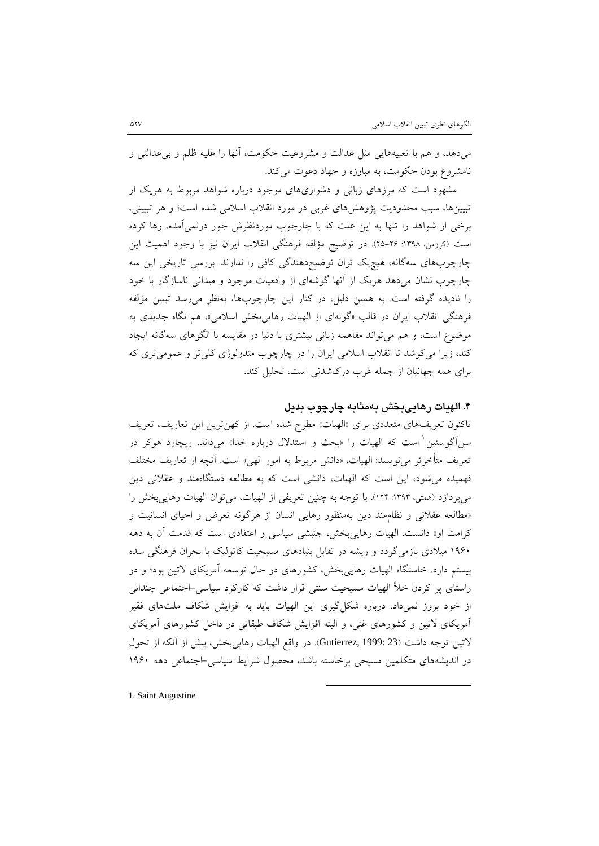میدهد، و هم با تعبیههایی مثل عدالت و مشروعیت حکومت، آنها را علیه ظلم و بیعدالتی و نامشروع بودن حکومت، به مبارزه و جهاد دعوت میکند.

مشهود است که مرزهاي زبانی و دشواريهاي موجود درباره شواهد مربوط به هریک از تبیینها، سبب محدودیت پژوهشهاي غربی در مورد انقلاب اسلامی شده است؛ و هر تبیینی، برخی از شواهد را تنها به این علت که با چارچوب موردنظرش جور درنمیآمده، رها کرده است (کرزمن، ١٣٩٨: ٢۶-٢٥). در توضیح مؤلفه فرهنگی انقلاب ایران نیز با وجود اهمیت این چارچوبهاي سهگانه، هیچیک توان توضیحدهندگی کافی را ندارند. بررسی تاریخی این سه چارچوب نشان میدهد هریک از آنها گوشهاي از واقعیات موجود و میدانی ناسازگار با خود را نادیده گرفته است. به همین دلیل، در کنار این چارچوبها، بهنظر میرسد تبیین مؤلفه فرهنگی انقلاب ایران در قالب «گونهاي از الهیات رهاییبخش اسلامی»، هم نگاه جدیدي به موضوع است، و هم میتواند مفاهمه زبانی بیشتري با دنیا در مقایسه با الگوهاي سهگانه ایجاد کند، زیرا میکوشد تا انقلاب اسلامی ایران را در چارچوب متدولوژي کلیتر و عمومیتري که براي همه جهانیان از جمله غرب دركشدنی است، تحلیل کند.

## **.4 الهیات رهاییبخش بهمثابه چارچوب بدیل**

تاکنون تعریفهاي متعددي براي «الهیات» مطرح شده است. از کهنترین این تعاریف، تعریف سنآگوستین ٰ است که الهیات را «بحث و استدلال درباره خدا» میداند. ریچارد هوکر در تعریف متأخرتر مینویسد: الهیات، «دانش مربوط به امور الهی» است. آنچه از تعاریف مختلف فهمیده میشود، این است که الهیات، دانشی است که به مطالعه دستگاهمند و عقلانی دین میپردازد (همتی، :1393 124). با توجه به چنین تعریفی از الهیات، میتوان الهیات رهاییبخش را «مطالعه عقلانی و نظاممند دین بهمنظور رهایی انسان از هرگونه تعرض و احیاي انسانیت و کرامت او» دانست. الهیات رهاییبخش، جنبشی سیاسی و اعتقادي است که قدمت آن به دهه 1960 میلادي بازمیگردد و ریشه در تقابل بنیادهاي مسیحیت کاتولیک با بحران فرهنگی سده بیستم دارد. خاستگاه الهیات رهاییبخش، کشورهاي در حال توسعه آمریکاي لاتین بود؛ و در راستاي پر کردن خلأ الهیات مسیحیت سنتی قرار داشت که کارکرد سیاسی-اجتماعی چندانی از خود بروز نمی۱داد. درباره شکل گیری این الهیات باید به افزایش شکاف ملتهای فقیر آمریکاي لاتین و کشورهاي غنی، و البته افزایش شکاف طبقاتی در داخل کشورهاي آمریکاي لاتین توجه داشت (23 1999: ,Gutierrez(. در واقع الهیات رهاییبخش، بیش از آنکه از تحول در اندیشههاي متکلمین مسیحی برخاسته باشد، محصول شرایط سیاسی-اجتماعی دهه 1960

-

1. Saint Augustine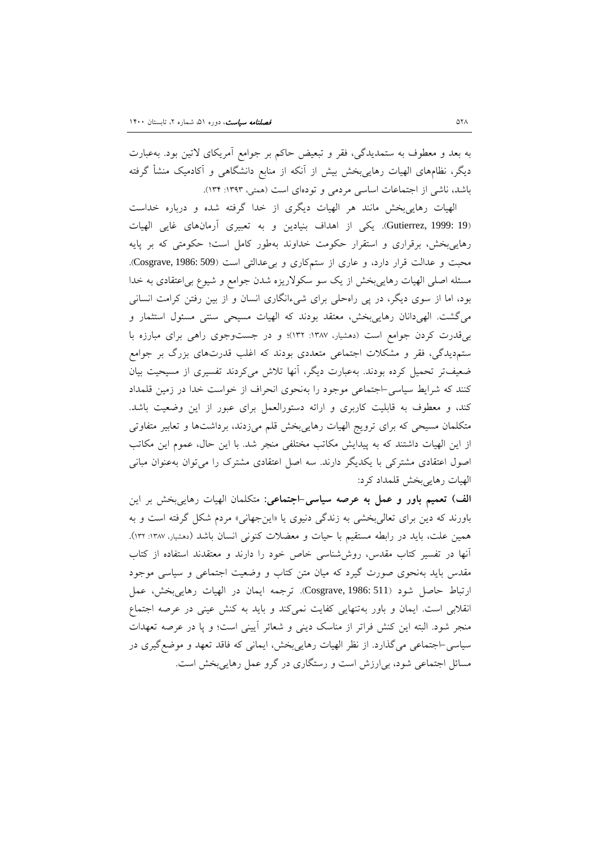به بعد و معطوف به ستمدیدگی، فقر و تبعیض حاکم بر جوامع آمریکاي لاتین بود. بهعبارت دیگر، نظامهاي الهیات رهاییبخش بیش از آنکه از منابع دانشگاهی و آکادمیک منشأ گرفته باشد، ناشی از اجتماعات اساسی مردمی و تودهاي است (همتی، :1393 134).

الهیات رهاییبخش مانند هر الهیات دیگري از خدا گرفته شده و درباره خداست (19 1999: ,Gutierrez(. یکی از اهداف بنیادین و به تعبیري آرمانهاي غایی الهیات رهاییبخش، برقراري و استقرار حکومت خداوند بهطور کامل است؛ حکومتی که بر پایه محبت و عدالت قرار دارد، و عاري از ستمکاري و بیعدالتی است (509 1986: ,Cosgrave(. مسئله اصلی الهیات رهاییبخش از یک سو سکولاریزه شدن جوامع و شیوع بیاعتقادي به خدا بود، اما از سوي دیگر، در پی راهحلی براي شیءانگاري انسان و از بین رفتن کرامت انسانی میگشت. الهیدانان رهاییبخش، معتقد بودند که الهیات مسیحی سنتی مسئول استثمار و بیقدرت کردن جوامع است (دهشیار، :1387 132)؛ و در جستوجوي راهی براي مبارزه با ستمدیدگی، فقر و مشکلات اجتماعی متعددي بودند که اغلب قدرتهاي بزرگ بر جوامع ضعیفتر تحمیل کرده بودند. بهعبارت دیگر، آنها تلاش میکردند تفسیري از مسیحیت بیان کنند که شرایط سیاسی-اجتماعی موجود را بهنحوي انحراف از خواست خدا در زمین قلمداد کند، و معطوف به قابلیت کاربري و ارائه دستورالعمل براي عبور از این وضعیت باشد. متکلمان مسیحی که براي ترویج الهیات رهاییبخش قلم میزدند، برداشتها و تعابیر متفاوتی از این الهیات داشتند که به پیدایش مکاتب مختلفی منجر شد. با این حال، عموم این مکاتب اصول اعتقادي مشترکی با یکدیگر دارند. سه اصل اعتقادي مشترك را میتوان بهعنوان مبانی الهیات رهاییبخش قلمداد کرد:

**الف) تعمیم باور و عمل به عرصه سیاسی-اجتماعی:** متکلمان الهیات رهاییبخش بر این باورند که دین براي تعالیبخشی به زندگی دنیوي یا «اینجهانی» مردم شکل گرفته است و به همین علت، باید در رابطه مستقیم با حیات و معضلات کنونی انسان باشد (دهشیار، :1387 132). آنها در تفسیر کتاب مقدس، روششناسی خاص خود را دارند و معتقدند استفاده از کتاب مقدس باید بهنحوي صورت گیرد که میان متن کتاب و وضعیت اجتماعی و سیاسی موجود ارتباط حاصل شود (511 1986: ,Cosgrave(. ترجمه ایمان در الهیات رهاییبخش، عمل انقلابی است. ایمان و باور بهتنهایی کفایت نمیکند و باید به کنش عینی در عرصه اجتماع منجر شود. البته این کنش فراتر از مناسک دینی و شعائر آیینی است؛ و پا در عرصه تعهدات سیاسی-اجتماعی میگذارد. از نظر الهیات رهاییبخش، ایمانی که فاقد تعهد و موضعگیري در مسائل اجتماعی شود، بیارزش است و رستگاري در گرو عمل رهاییبخش است.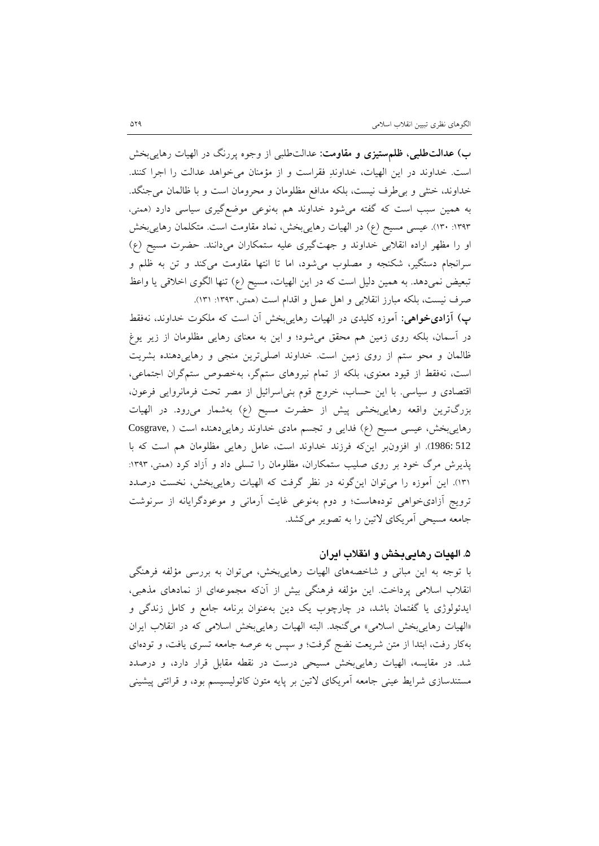**ب) عدالتطلبی، ظلمستیزي و مقاومت:** عدالتطلبی از وجوه پررنگ در الهیات رهاییبخش است. خداوند در این الهیات، خداوند فقراست و از مؤمنان میخواهد عدالت را اجرا کنند. خداوند، خنثی و بیطرف نیست، بلکه مدافع مظلومان و محرومان است و با ظالمان میجنگد. به همین سبب است که گفته میشود خداوند هم بهنوعی موضعگیري سیاسی دارد (همتی، :1393 130). عیسی مسیح (ع) در الهیات رهاییبخش، نماد مقاومت است. متکلمان رهاییبخش او را مظهر اراده انقلابی خداوند و جهتگیري علیه ستمکاران میدانند. حضرت مسیح (ع) سرانجام دستگیر، شکنجه و مصلوب میشود، اما تا انتها مقاومت میکند و تن به ظلم و تبعیض نمیدهد. به همین دلیل است که در این الهیات، مسیح (ع) تنها الگوي اخلاقی یا واعظ صرف نیست، بلکه مبارز انقلابی و اهل عمل و اقدام است (همتی، :1393 131).

**پ) آزاديخواهی:** آموزه کلیدي در الهیات رهاییبخش آن است که ملکوت خداوند، نهفقط در آسمان، بلکه روي زمین هم محقق میشود؛ و این به معناي رهایی مظلومان از زیر یوغ ظالمان و محو ستم از روي زمین است. خداوند اصلیترین منجی و رهاییدهنده بشریت است، نهفقط از قیود معنوي، بلکه از تمام نیروهاي ستمگر، بهخصوص ستمگران اجتماعی، اقتصادي و سیاسی. با این حساب، خروج قوم بنیاسرائیل از مصر تحت فرمانروایی فرعون، بزرگترین واقعه رهاییبخشی پیش از حضرت مسیح (ع) بهشمار میرود. در الهیات رهاییبخش، عیسی مسیح (ع) فدایی و تجسم مادي خداوند رهاییدهنده است ( ,Cosgrave 512 1986:). او افزونبر اینکه فرزند خداوند است، عامل رهایی مظلومان هم است که با پذیرش مرگ خود بر روی صلیب ستمکاران، مظلومان را تسلی داد و آزاد کرد (همتی، ۱۳۹۳: 131). این آموزه را میتوان اینگونه در نظر گرفت که الهیات رهاییبخش، نخست درصدد ترویج آزاديخواهی تودههاست؛ و دوم بهنوعی غایت آرمانی و موعودگرایانه از سرنوشت جامعه مسیحی آمریکاي لاتین را به تصویر میکشد.

## **.5 الهیات رهاییبخش و انقلاب ایران**

<span id="page-16-0"></span>با توجه به این مبانی و شاخصههاي الهیات رهاییبخش، میتوان به بررسی مؤلفه فرهنگی انقلاب اسلامی پرداخت. این مؤلفه فرهنگی بیش از آنکه مجموعهاي از نمادهاي مذهبی، ایدئولوژي یا گفتمان باشد، در چارچوب یک دین بهعنوان برنامه جامع و کامل زندگی و «الهیات رهاییبخش اسلامی» میگنجد. البته الهیات رهاییبخش اسلامی که در انقلاب ایران بهکار رفت، ابتدا از متن شریعت نضج گرفت؛ و سپس به عرصه جامعه تسري یافت، و تودهاي شد. در مقایسه، الهیات رهاییبخش مسیحی درست در نقطه مقابل قرار دارد، و درصدد مستندسازي شرایط عینی جامعه آمریکاي لاتین بر پایه متون کاتولیسیسم بود، و قرائتی پیشینی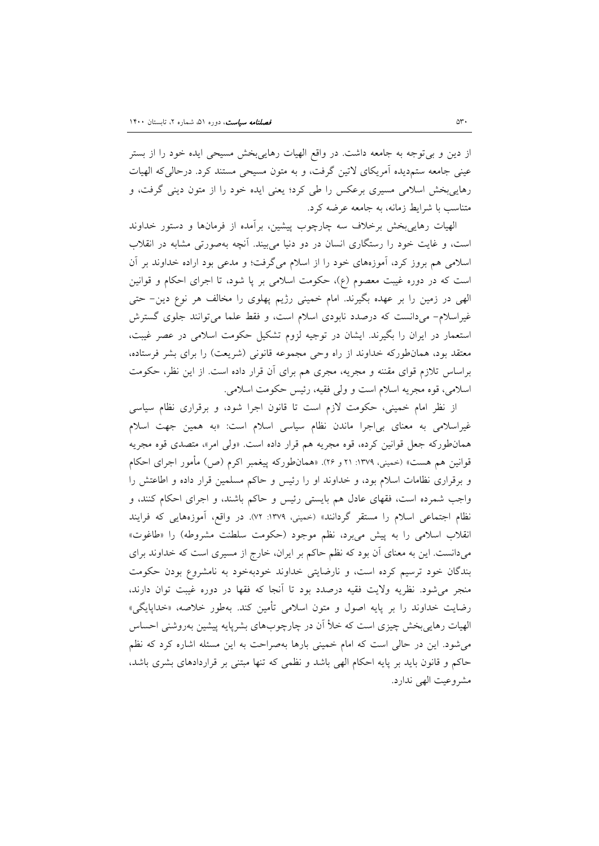از دین و بیتوجه به جامعه داشت. در واقع الهیات رهاییبخش مسیحی ایده خود را از بستر عینی جامعه ستمدیده آمریکاي لاتین گرفت، و به متون مسیحی مستند کرد. درحالیکه الهیات رهاییبخش اسلامی مسیري برعکس را طی کرد؛ یعنی ایده خود را از متون دینی گرفت، و متناسب با شرایط زمانه، به جامعه عرضه کرد.

الهیات رهاییبخش برخلاف سه چارچوب پیشین، برآمده از فرمانها و دستور خداوند است، و غایت خود را رستگاري انسان در دو دنیا میبیند. آنچه بهصورتی مشابه در انقلاب اسلامی هم بروز کرد، آموزههاي خود را از اسلام میگرفت؛ و مدعی بود اراده خداوند بر آن است که در دوره غیبت معصوم (ع)، حکومت اسلامی بر پا شود، تا اجراي احکام و قوانین الهی در زمین را بر عهده بگیرند. امام خمینی رژیم پهلوي را مخالف هر نوع دین- حتی غیراسلام- میدانست که درصدد نابودي اسلام است، و فقط علما میتوانند جلوي گسترش استعمار در ایران را بگیرند. ایشان در توجیه لزوم تشکیل حکومت اسلامی در عصر غیبت، معتقد بود، همانطورکه خداوند از راه وحی مجموعه قانونی (شریعت) را براي بشر فرستاده، براساس تلازم قواي مقننه و مجریه، مجري هم براي آن قرار داده است. از این نظر، حکومت اسلامی، قوه مجریه اسلام است و ولی فقیه، رئیس حکومت اسلامی.

از نظر امام خمینی، حکومت لازم است تا قانون اجرا شود، و برقراري نظام سیاسی غیراسلامی به معناي بیاجرا ماندن نظام سیاسی اسلام است: «به همین جهت اسلام همانطورکه جعل قوانین کرده، قوه مجریه هم قرار داده است. «ولی امر»، متصدي قوه مجریه قوانین هم هست» (خمینی، ١٣٧٩: ٢١ و ٢۶). «همانطورکه پیغمبر اکرم (ص) مأمور اجراي احکام و برقراري نظامات اسلام بود، و خداوند او را رئیس و حاکم مسلمین قرار داده و اطاعتش را واجب شمرده است، فقهاي عادل هم بایستی رئیس و حاکم باشند، و اجراي احکام کنند، و نظام اجتماعی اسلام را مستقر گردانند» (خمینی، :1379 72). در واقع، آموزههایی که فرایند انقلاب اسلامی را به پیش میبرد، نظم موجود (حکومت سلطنت مشروطه) را «طاغوت» میدانست. این به معناي آن بود که نظم حاکم بر ایران، خارج از مسیري است که خداوند براي بندگان خود ترسیم کرده است، و نارضایتی خداوند خودبهخود به نامشروع بودن حکومت منجر میشود. نظریه ولایت فقیه درصدد بود تا آنجا که فقها در دوره غیبت توان دارند، رضایت خداوند را بر پایه اصول و متون اسلامی تأمین کند. بهطور خلاصه، «خداپایگی» الهیات رهاییبخش چیزي است که خلأ آن در چارچوبهاي بشرپایه پیشین بهروشنی احساس میشود. این در حالی است که امام خمینی بارها بهصراحت به این مسئله اشاره کرد که نظم حاکم و قانون باید بر پایه احکام الهی باشد و نظمی که تنها مبتنی بر قراردادهاي بشري باشد، مشروعیت الهی ندارد.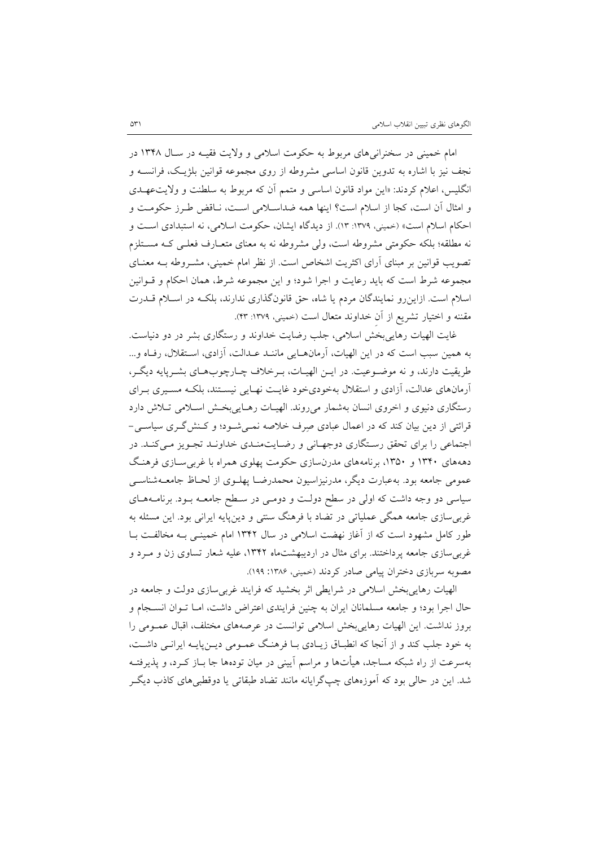امام خمینی در سخنرانیهاي مربوط به حکومت اسلامی و ولایت فقیـه در سـال 1348 در نجف نیز با اشاره به تدوین قانون اساسی مشروطه از روي مجموعه قوانین بلژیـک، فرانسـه و انگلیس، اعلام کردند: «این مواد قانون اساسی و متمم آن که مربوط به سلطنت و ولایتعهـدي و امثال آن است، کجا از اسلام است؟ اینها همه ضداسـلامی اسـت، نـاقض طـرز حکومـت و احکام اسلام است» (خمینی، ١٣٧٩: ١٣). از دیدگاه ایشان، حکومت اسلامی، نه استبدادی است و نه مطلقه؛ بلکه حکومتی مشروطه است، ولی مشروطه نه به معناي متعـارف فعلـی کـه مسـتلزم تصویب قوانین بر مبناي آراي اکثریت اشخاص است. از نظر امام خمینی، مشـروطه بـه معنـاي مجموعه شرط است که باید رعایت و اجرا شود؛ و این مجموعه شرط، همان احکام و قـوانین اسلام است. ازاینرو نمایندگان مردم یا شاه، حق قانونگذاري ندارند، بلکـه در اسـلام قـدرت مقننه و اختیار تشریع از آن خداوند متعال است (خمینی، ۱۳۷۹: ۴۳).

غایت الهیات رهاییبخش اسلامی، جلب رضایت خداوند و رستگاري بشر در دو دنیاست. به همین سبب است که در این الهیات، آرمانهـایی ماننـد عـدالت، آزادي، اسـتقلال، رفـاه و... طریقیت دارند، و نه موضـ وعیت. در ایـن الهیـات، بـرخلاف چـارچوب هـاي بشـرپای ه دیگـر، آرمانهاي عدالت، آزادي و استقلال بهخوديخود غایـت نهـایی نیسـتند، بلکـه مسـیري بـراي رستگاري دنیوي و اخروي انسان بهشمار میروند. الهیـات رهـایی بخـش اسـلامی تـلاش دارد قرائتی از دین بیان کند که در اعمال عبادي صرف خلاصه نمـی شـود ؛ و کـنش گـري سیاسـی - اجتماعی را براي تحقق رسـتگاري دوجهـانی و رضـایت منـدي خداونـد تجـویز مـی کنـد. در دهههاي 1340 و ،1350 برنامههاي مدرنسازي حکومت پهلوي همراه با غربیسـازي فرهنـگ عمومی جامعه بود. بهعبارت دیگر، مدرنیزاسیون محمدرضـا پهلـوي از لحـاظ جامعـ هشناسـی سیاسی دو وجه داشت که اولی در سطح دولـت و دومـی در سـطح جامعـه بـود. برنامـه هـاي غربیسازي جامعه همگی عملیاتی در تضاد با فرهنگ سنتی و دینپایه ایرانی بود. این مسئله به طور کامل مشهود است که از آغاز نهضت اسلامی در سال 1342 امام خمینـی بـه مخالفـت بـا غربیسازي جامعه پرداختند. براي مثال در اردیبهشتماه ،1342 علیه شعار تساوي زن و مـرد و مصوبه سربازي دختران پیامی صادر کردند (خمینی، :1386 199).

الهیات رهاییبخش اسلامی در شرایطی اثر بخشید که فرایند غربیسازي دولت و جامعه در حال اجرا بود؛ و جامعه مسلمانان ایران به چنین فرایندي اعتراض داشت، امـا تـوان انسـجام و بروز نداشت. این الهیات رهاییبخش اسلامی توانست در عرصههاي مختلف، اقبال عمـومی را به خود جلب کند و از آنجا که انطبـاق زیـادي بـا فرهنـگ عمـومی دیـن پایـ ه ایرانـی داشـت، بهسرعت از راه شبکه مساجد، هیأتها و مراسم آیینی در میان تودهها جا بـاز کـرد ، و پذیرفتـه شد. این در حالی بود که آموزههاي چپگرایانه مانند تضاد طبقاتی یا دوقطبیهاي کاذب دیگـر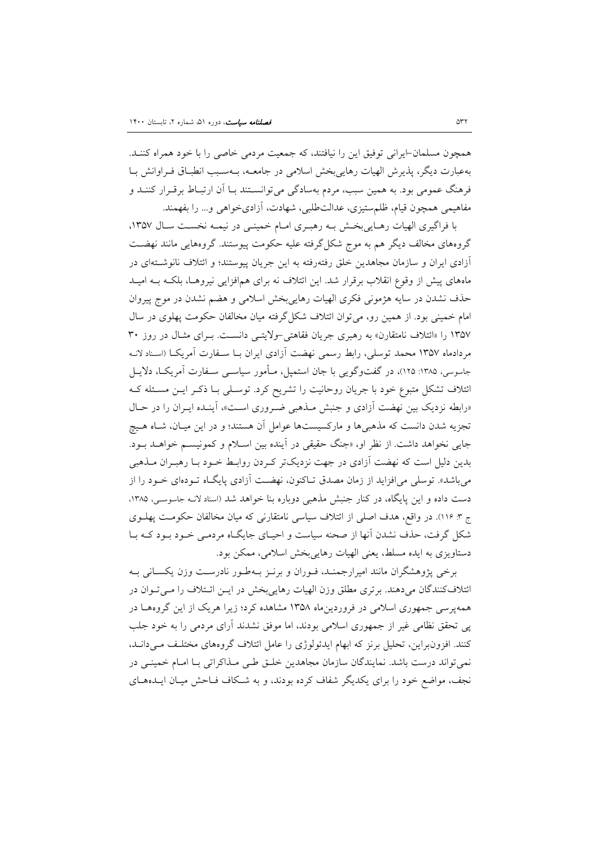همچون مسلمان-ایرانی توفیق این را نیافتند، که جمعیت مردمی خاصی را با خود همراه کننـد. بهعبارت دیگر، پذیرش الهیات رهاییبخش اسلامی در جامعـه، بـه سـبب انطبـاق فـراوانش بـا فرهنگ عمومی بود. به همین سبب، مردم بهسادگی میتوانسـتند بـا آن ارتبـاط برقـرار کننـد و مفاهیمی همچون قیام، ظلمستیزي، عدالتطلبی، شهادت، آزاديخواهی و... را بفهمند.

با فراگیری الهیات رهـایی بخـش بـه رهبـری امـام خمینـی در نیمـه نخسـت سـال ١٣٥٧، گروههاي مخالف دیگر هم به موج شکلگرفته علیه حکومت پیوستند. گروههایی مانند نهضـت آزادي ایران و سازمان مجاهدین خلق رفتهرفته به این جریان پیوستند؛ و ائتلاف نانوشـته اي در ماههاي پیش از وقوع انقلاب برقرار شد. این ائتلاف نه براي همافزایی نیروهـا، بلکـه بـه امیـ د حذف نشدن در سایه هژمونی فکري الهیات رهاییبخش اسلامی و هضم نشدن در موج پیروان امام خمینی بود. از همین رو، میتوان ائتلاف شکلگرفته میان مخالفان حکومت پهلوي در سال 1357 را «ائتلاف نامتقارن» به رهبري جریان فقاهتی-ولایتـی دانسـت. بـراي مثـال در روز 30 مردادماه 1357 محمد توسلی، رابط رسمی نهضت آزادي ایران بـا سـفارت آمریکـا (اسـناد لانـه جاسوسی، ۱۳۸۵: ۱۲۵)، در گفتوگویی با جان استمپل، مـأمور سیاسـی سـفارت آمریکـا، دلایـل ائتلاف تشکل متبوع خود با جریان روحانیت را تشریح کرد. توسـلی بـا ذکـر ایـن مسـئله کـه «رابطه نزدیک بین نهضت آزادي و جنبش مـذهبی ضـروري اسـت »، آینـده ایـران را در حـال تجزیه شدن دانست که مذهبیها و مارکسیستها عوامل آن هستند؛ و در این میـان، شـاه هـیچ جایی نخواهد داشت. از نظر او، «جنگ حقیقی در آینده بین اسـلام و کمونیسـم خواهـد بـود . بدین دلیل است که نهضت آزادي در جهت نزدیکتر کـ ردن روابـط خـود بـا رهبـران مـذهبی میباشد». توسلی میافزاید از زمان مصدق تـاکنون، نهضـت آزادي پایگـاه تـوده اي خـود را از دست داده و این پایگاه، در کنار جنبش مذهبی دوباره بنا خواهد شد (اسناد لانـه جاسوسـی، ،1385 ج :3 116). در واقع، هدف اصلی از ائتلاف سیاسی نامتقارنی که میان مخالفان حکومـت پهلـوي شکل گرفت، حذف نشدن آنها از صحنه سیاست و احیـاي جایگـاه مردمـی خـود بـود کـه بـا دستاویزي به ایده مسلط، یعنی الهیات رهاییبخش اسلامی، ممکن بود.

<span id="page-19-1"></span><span id="page-19-0"></span>برخی پژوهشگران مانند امیرارجمنـد، فـوران و برنـز بـه طـور نادرسـت وزن یکسـانی بـه ائتلافکنندگان میدهند. برتري مطلق وزن الهیات رهاییبخش در ایـن ائـتلاف را مـی تـوان در همهپرسی جمهوري اسلامی در فروردینماه 1358 مشاهده کرد؛ زیرا هریک از این گروههـا در پی تحقق نظامی غیر از جمهوري اسلامی بودند، اما موفق نشدند آراي مردمی را به خود جلب کنند. افزونبراین، تحلیل برنز که ابهام ایدئولوژي را عامل ائتلاف گروههاي مختلـف مـی دانـد، نمیتواند درست باشد. نمایندگان سازمان مجاهدین خلـق طـی مـذاکراتی بـا امـام خمینـی در نجف، مواضع خود را براي یکدیگر شفاف کرده بودند، و به شـکاف فـاحش میـان ایـده هـاي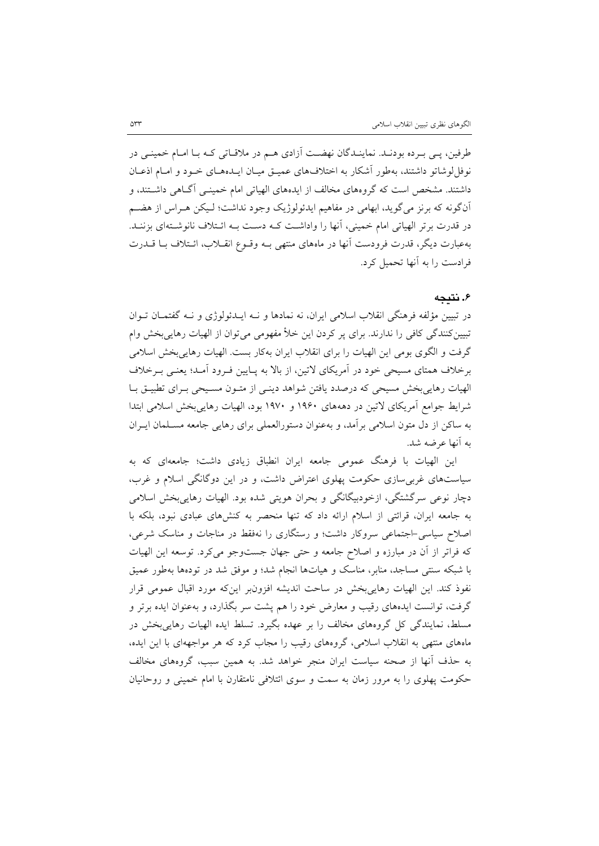طرفین، پـی بـرده بودنـد. نماینـدگان نهضـت آ زادي هـم در ملاقـاتی کـه بـا امـام خمینـی در نوفل لوشاتو داشتند، بهطور آشکار به اختلافهاي عمیـق میـان ایـدههـاي خـود و امـام اذعـان داشتند. مشخص است که گروههاي مخالف از ایدههاي الهیاتی امام خمینـی آگـاهی داشـتند ، و آنگونه که برنز میگوید، ابهامی در مفاهیم ایدئولوژیک وجود نداشت؛ لـیکن هـراس از هضـم در قدرت برتر الهیاتی امام خمینی، آنها را واداشـت کـه دسـت بـه ائـتلاف نانوشـته اي بزننـد. بهعبارت دیگر، قدرت فرودست آنها در ماههاي منتهی بـه وقـوع انقـلاب، ائـتلاف بـا قـدرت فرادست را به آنها تحمیل کرد.

## **.6 نتیجه**

در تبیین مؤلفه فرهنگی انقلاب اسلامی ایران، نه نمادها و نـه ایـدئولوژي و نـه گفتمـان تـوان تبیینکنندگی کافی را ندارند. براي پر کردن این خلأ مفهومی میتوان از الهیات رهاییبخش وام گرفت و الگوي بومی این الهیات را براي انقلاب ایران بهکار بست. الهیات رهاییبخش اسلامی برخلاف همتاي مسیحی خود در آمریکاي لاتین، از بالا به پـایین فـرود آمـد؛ یعنـی بـرخلاف الهیات رهاییبخش مسیحی که درصدد یافتن شواهد دینـی از متـون مسـیحی بـراي تطبیـق بـا شرایط جوامع آمریکاي لاتین در دهههاي 1960 و 1970 بود، الهیات رهاییبخش اسلامی ابتدا به ساکن از دل متون اسلامی برآمد، و بهعنوان دستورالعملی براي رهایی جامعه مسـلمان ایـران به آنها عرضه شد.

این الهیات با فرهنگ عمومی جامعه ایران انطباق زیادي داشت؛ جامعهاي که به سیاستهاي غربیسازي حکومت پهلوي اعتراض داشت، و در این دوگانگی اسلام و غرب، دچار نوعی سرگشتگی، ازخودبیگانگی و بحران هویتی شده بود. الهیات رهاییبخش اسلامی به جامعه ایران، قرائتی از اسلام ارائه داد که تنها منحصر به کنشهاي عبادي نبود، بلکه با اصلاح سیاسی-اجتماعی سروکار داشت؛ و رستگاري را نهفقط در مناجات و مناسک شرعی، که فراتر از آن در مبارزه و اصلاح جامعه و حتی جهان جستوجو میکرد. توسعه این الهیات با شبکه سنتی مساجد، منابر، مناسک و هیاتها انجام شد؛ و موفق شد در تودهها بهطور عمیق نفوذ کند. این الهیات رهاییبخش در ساحت اندیشه افزونبر اینکه مورد اقبال عمومی قرار گرفت، توانست ایدههاي رقیب و معارض خود را هم پشت سر بگذارد، و بهعنوان ایده برتر و مسلط، نمایندگی کل گروههاي مخالف را بر عهده بگیرد. تسلط ایده الهیات رهاییبخش در ماههاي منتهی به انقلاب اسلامی، گروههاي رقیب را مجاب کرد که هر مواجههاي با این ایده، به حذف آنها از صحنه سیاست ایران منجر خواهد شد. به همین سبب، گروههاي مخالف حکومت پهلوي را به مرور زمان به سمت و سوي ائتلافی نامتقارن با امام خمینی و روحانیان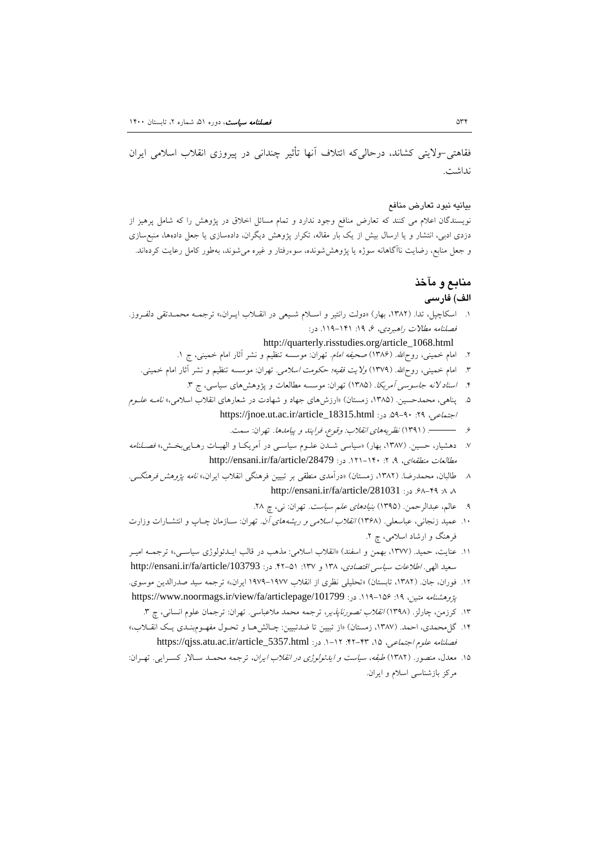فقاهتی-ولایتی کشاند، درحالیکه ائتلاف آنها تأثیر چندانی در پیروزي انقلاب اسلامی ایران نداشت.

#### بیانیه نبود تعارض منافع

نویسندگان اعلام می کنند که تعارض منافع وجود ندارد و تمام مسائل اخلاق در پژوهش را که شامل پرهیز از دزدي ادبی، انتشار و یا ارسال بیش از یک بار مقاله، تکرار پژوهش دیگران، دادهسازي یا جعل دادهها، منبعسازي و جعل منابع، رضایت ناآگاهانه سوژه یا پژوهششونده، سوءرفتار و غیره میشوند، بهطور کامل رعایت کردهاند.

## **منابع و مآخذ**

#### **الف) فارسی**

.1 اسکاچپل، تدا. (،1382 بهار) «دولت رانتیر و اسـلام شـیعی در انقـلاب ایـران ،» ترجمـه محمـدتقی دلفـروز. فصلنامه مطالات راهبردي، ،6 :19 .119-141 در:

## http://quarterly.risstudies.org/article\_1068.html

- ۲. امام خمینی، روح|لله. (۱۳۸۶) صحی*فه امام.* تهران: موسسه تنظیم و نشر أثار امام خمینی، ج ۱.
- .3 امام خمینی، روحاالله. (1379) ولایت فقیه؛ حکومت اسلامی. تهران: موسسه تنظیم و نشر آثار امام خمینی.
	- ۴. ا*سناد لانه جاسوسی آمریکا. (*۱۳۸۵) تهران: موسسه مطالعات و پژوهشهای سیاسی، ج ۳.
- .5 پناهی، محمدحسین. (،1385 زمستان) «ارزشهاي جهاد و شهادت در شعارهاي انقلاب اسلامی،» نامـه علـوم https://jnoe.ut.ac.ir/article\_18315.html :در: https://jnoe.ut.ac.ir/article\_18315.html
	- .6 ———. (1391) نظریههاي انقلاب: وقوع، فرایند و پیامدها. تهران: سمت.
- .7 دهشیار، حسین. (،1387 بهار) «سیاسی شـدن علـوم سیاسـی در آمریکـا و الهیـات رهـایی بخـش، » فصـلنامه http://ensani.ir/fa/article/28479 . در: 1284/19/article/28479 .j
- .8 طالبان، محمدرضا. (،1382 زمستان) «درآمدي منطقی بر تبیین فرهنگی انقلاب ایران،» نامه پژوهش فرهنگـی . http://ensani.ir/fa/article/281031 :<sub>۶۸-۴۹</sub> ، ۸ ، ۸
	- ۹. عالم، عبدالرحمن. (۱۳۹۵) *بنیادهای علم سیاست.* تهران: نی، چ ۲۸.
- .10 عمید زنجانی، عباسعلی. (1368) انقلاب اسلامی و ریشههاي آن. تهران: سـازمان چـاپ و انتشـارات وزارت فرهنگ و ارشاد اسلامی، چ .2
- .11 عنایت، حمید. (،1377 بهمن و اسفند) «انقلاب اسلامی: مذهب در قالب ایـدئولوژي سیاسـی، » ترجمـه امیـر سعید الهی. *اطلاعات سیاسی اقتصادی*، ۱۳۸ و ۱۳۷: ۵۱-۴۲. در: http://ensani.ir/fa/article/103793
- .12 فوران، جان. (،1382 تابستان) «تحلیلی نظري از انقلاب 1979-1977 ایران،» ترجمه سید صدرالدین موسوي. https://www.noormags.ir/view/fa/articlepage/101799 . در: 1195/101799 .114-166 .
	- ۱۳. کرزمن، چارلز. (۱۳۹۸) *انقلاب تصورناپذی*ر، ترجمه محمد ملاعباسی. تهران: ترجمان علوم انسانی، چ ۳.
- .14 گلمحمدي، احمد. (،1387 زمستان) «از تبیین تا ضدتبیین: چـالش هـا و تحـول مفهـوم بنـد ي یـک انقـلاب، » https://qjss.atu.ac.ir/article\_5357.html :در: https://qjss.atu.ac.ir/article\_5357.html
- <span id="page-21-0"></span>۱۵. معدل، منصور. (۱۳۸۲) *طبقه، سیاست و ایدئولوژي در انقلاب ایران،* ترجمه محمـد سـالار کسـرایی. تهـران: مرکز بازشناسی اسلام و ایران.